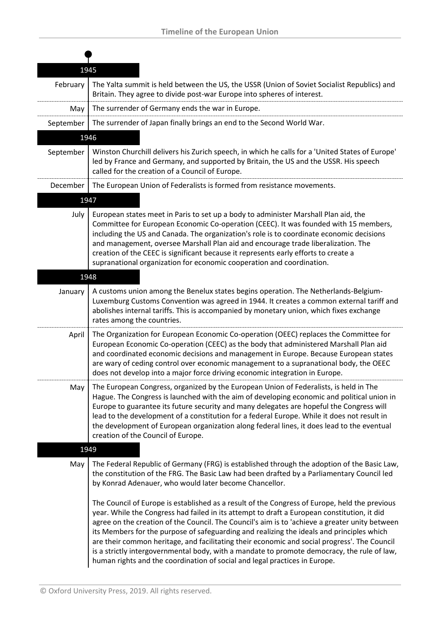| 1945      |                                                                                                                                                                                                                                                                                                                                                                                                                                                                                                                                                                                                                                                                          |  |
|-----------|--------------------------------------------------------------------------------------------------------------------------------------------------------------------------------------------------------------------------------------------------------------------------------------------------------------------------------------------------------------------------------------------------------------------------------------------------------------------------------------------------------------------------------------------------------------------------------------------------------------------------------------------------------------------------|--|
| February  | The Yalta summit is held between the US, the USSR (Union of Soviet Socialist Republics) and<br>Britain. They agree to divide post-war Europe into spheres of interest.                                                                                                                                                                                                                                                                                                                                                                                                                                                                                                   |  |
| May       | The surrender of Germany ends the war in Europe.                                                                                                                                                                                                                                                                                                                                                                                                                                                                                                                                                                                                                         |  |
| September | The surrender of Japan finally brings an end to the Second World War.                                                                                                                                                                                                                                                                                                                                                                                                                                                                                                                                                                                                    |  |
|           | 1946                                                                                                                                                                                                                                                                                                                                                                                                                                                                                                                                                                                                                                                                     |  |
| September | Winston Churchill delivers his Zurich speech, in which he calls for a 'United States of Europe'<br>led by France and Germany, and supported by Britain, the US and the USSR. His speech<br>called for the creation of a Council of Europe.                                                                                                                                                                                                                                                                                                                                                                                                                               |  |
| December  | The European Union of Federalists is formed from resistance movements.                                                                                                                                                                                                                                                                                                                                                                                                                                                                                                                                                                                                   |  |
|           | 1947                                                                                                                                                                                                                                                                                                                                                                                                                                                                                                                                                                                                                                                                     |  |
| July      | European states meet in Paris to set up a body to administer Marshall Plan aid, the<br>Committee for European Economic Co-operation (CEEC). It was founded with 15 members,<br>including the US and Canada. The organization's role is to coordinate economic decisions<br>and management, oversee Marshall Plan aid and encourage trade liberalization. The<br>creation of the CEEC is significant because it represents early efforts to create a<br>supranational organization for economic cooperation and coordination.                                                                                                                                             |  |
|           | 1948                                                                                                                                                                                                                                                                                                                                                                                                                                                                                                                                                                                                                                                                     |  |
| January   | A customs union among the Benelux states begins operation. The Netherlands-Belgium-<br>Luxemburg Customs Convention was agreed in 1944. It creates a common external tariff and<br>abolishes internal tariffs. This is accompanied by monetary union, which fixes exchange<br>rates among the countries.                                                                                                                                                                                                                                                                                                                                                                 |  |
| April     | The Organization for European Economic Co-operation (OEEC) replaces the Committee for<br>European Economic Co-operation (CEEC) as the body that administered Marshall Plan aid<br>and coordinated economic decisions and management in Europe. Because European states<br>are wary of ceding control over economic management to a supranational body, the OEEC<br>does not develop into a major force driving economic integration in Europe.                                                                                                                                                                                                                           |  |
| May       | The European Congress, organized by the European Union of Federalists, is held in The<br>Hague. The Congress is launched with the aim of developing economic and political union in<br>Europe to guarantee its future security and many delegates are hopeful the Congress will<br>lead to the development of a constitution for a federal Europe. While it does not result in<br>the development of European organization along federal lines, it does lead to the eventual<br>creation of the Council of Europe.                                                                                                                                                       |  |
|           | 1949                                                                                                                                                                                                                                                                                                                                                                                                                                                                                                                                                                                                                                                                     |  |
| May       | The Federal Republic of Germany (FRG) is established through the adoption of the Basic Law,<br>the constitution of the FRG. The Basic Law had been drafted by a Parliamentary Council led<br>by Konrad Adenauer, who would later become Chancellor.                                                                                                                                                                                                                                                                                                                                                                                                                      |  |
|           | The Council of Europe is established as a result of the Congress of Europe, held the previous<br>year. While the Congress had failed in its attempt to draft a European constitution, it did<br>agree on the creation of the Council. The Council's aim is to 'achieve a greater unity between<br>its Members for the purpose of safeguarding and realizing the ideals and principles which<br>are their common heritage, and facilitating their economic and social progress'. The Council<br>is a strictly intergovernmental body, with a mandate to promote democracy, the rule of law,<br>human rights and the coordination of social and legal practices in Europe. |  |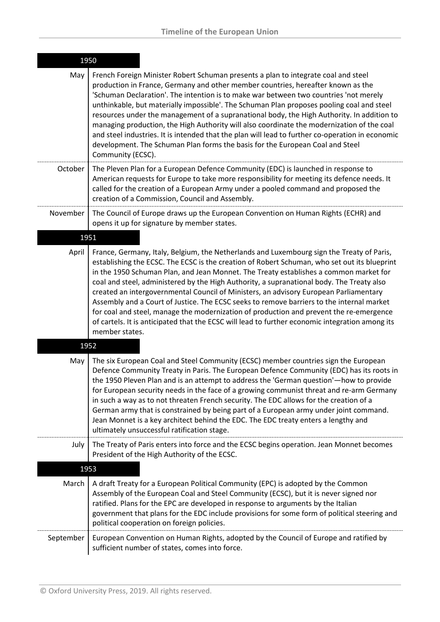| 1950      |                                                                                                                                                                                                                                                                                                                                                                                                                                                                                                                                                                                                                                                                                                                                                                                       |
|-----------|---------------------------------------------------------------------------------------------------------------------------------------------------------------------------------------------------------------------------------------------------------------------------------------------------------------------------------------------------------------------------------------------------------------------------------------------------------------------------------------------------------------------------------------------------------------------------------------------------------------------------------------------------------------------------------------------------------------------------------------------------------------------------------------|
| May       | French Foreign Minister Robert Schuman presents a plan to integrate coal and steel<br>production in France, Germany and other member countries, hereafter known as the<br>'Schuman Declaration'. The intention is to make war between two countries 'not merely<br>unthinkable, but materially impossible'. The Schuman Plan proposes pooling coal and steel<br>resources under the management of a supranational body, the High Authority. In addition to<br>managing production, the High Authority will also coordinate the modernization of the coal<br>and steel industries. It is intended that the plan will lead to further co-operation in economic<br>development. The Schuman Plan forms the basis for the European Coal and Steel<br>Community (ECSC).                    |
| October   | The Pleven Plan for a European Defence Community (EDC) is launched in response to<br>American requests for Europe to take more responsibility for meeting its defence needs. It<br>called for the creation of a European Army under a pooled command and proposed the<br>creation of a Commission, Council and Assembly.                                                                                                                                                                                                                                                                                                                                                                                                                                                              |
| November  | The Council of Europe draws up the European Convention on Human Rights (ECHR) and<br>opens it up for signature by member states.                                                                                                                                                                                                                                                                                                                                                                                                                                                                                                                                                                                                                                                      |
|           | 1951                                                                                                                                                                                                                                                                                                                                                                                                                                                                                                                                                                                                                                                                                                                                                                                  |
| April     | France, Germany, Italy, Belgium, the Netherlands and Luxembourg sign the Treaty of Paris,<br>establishing the ECSC. The ECSC is the creation of Robert Schuman, who set out its blueprint<br>in the 1950 Schuman Plan, and Jean Monnet. The Treaty establishes a common market for<br>coal and steel, administered by the High Authority, a supranational body. The Treaty also<br>created an intergovernmental Council of Ministers, an advisory European Parliamentary<br>Assembly and a Court of Justice. The ECSC seeks to remove barriers to the internal market<br>for coal and steel, manage the modernization of production and prevent the re-emergence<br>of cartels. It is anticipated that the ECSC will lead to further economic integration among its<br>member states. |
|           | 1952                                                                                                                                                                                                                                                                                                                                                                                                                                                                                                                                                                                                                                                                                                                                                                                  |
| May       | The six European Coal and Steel Community (ECSC) member countries sign the European<br>Defence Community Treaty in Paris. The European Defence Community (EDC) has its roots in<br>the 1950 Pleven Plan and is an attempt to address the 'German question'—how to provide<br>for European security needs in the face of a growing communist threat and re-arm Germany<br>in such a way as to not threaten French security. The EDC allows for the creation of a<br>German army that is constrained by being part of a European army under joint command.<br>Jean Monnet is a key architect behind the EDC. The EDC treaty enters a lengthy and<br>ultimately unsuccessful ratification stage.                                                                                         |
| July      | The Treaty of Paris enters into force and the ECSC begins operation. Jean Monnet becomes<br>President of the High Authority of the ECSC.                                                                                                                                                                                                                                                                                                                                                                                                                                                                                                                                                                                                                                              |
|           | 1953                                                                                                                                                                                                                                                                                                                                                                                                                                                                                                                                                                                                                                                                                                                                                                                  |
| March     | A draft Treaty for a European Political Community (EPC) is adopted by the Common<br>Assembly of the European Coal and Steel Community (ECSC), but it is never signed nor<br>ratified. Plans for the EPC are developed in response to arguments by the Italian<br>government that plans for the EDC include provisions for some form of political steering and<br>political cooperation on foreign policies.                                                                                                                                                                                                                                                                                                                                                                           |
| September | European Convention on Human Rights, adopted by the Council of Europe and ratified by<br>sufficient number of states, comes into force.                                                                                                                                                                                                                                                                                                                                                                                                                                                                                                                                                                                                                                               |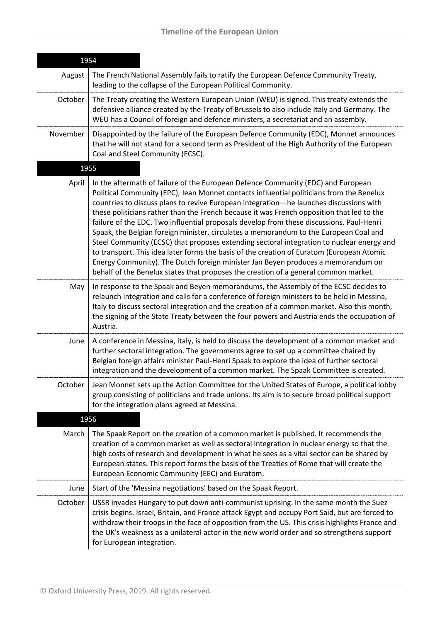| 1954     |                                                                                                                                                                                                                                                                                                                                                                                                                                                                                                                                                                                                                                                                                                                                                                                                                                                                                                                               |
|----------|-------------------------------------------------------------------------------------------------------------------------------------------------------------------------------------------------------------------------------------------------------------------------------------------------------------------------------------------------------------------------------------------------------------------------------------------------------------------------------------------------------------------------------------------------------------------------------------------------------------------------------------------------------------------------------------------------------------------------------------------------------------------------------------------------------------------------------------------------------------------------------------------------------------------------------|
| August   | The French National Assembly fails to ratify the European Defence Community Treaty,<br>leading to the collapse of the European Political Community.                                                                                                                                                                                                                                                                                                                                                                                                                                                                                                                                                                                                                                                                                                                                                                           |
| October  | The Treaty creating the Western European Union (WEU) is signed. This treaty extends the<br>defensive alliance created by the Treaty of Brussels to also include Italy and Germany. The<br>WEU has a Council of foreign and defence ministers, a secretariat and an assembly.                                                                                                                                                                                                                                                                                                                                                                                                                                                                                                                                                                                                                                                  |
| November | Disappointed by the failure of the European Defence Community (EDC), Monnet announces<br>that he will not stand for a second term as President of the High Authority of the European<br>Coal and Steel Community (ECSC).                                                                                                                                                                                                                                                                                                                                                                                                                                                                                                                                                                                                                                                                                                      |
|          | 1955                                                                                                                                                                                                                                                                                                                                                                                                                                                                                                                                                                                                                                                                                                                                                                                                                                                                                                                          |
| April    | In the aftermath of failure of the European Defence Community (EDC) and European<br>Political Community (EPC), Jean Monnet contacts influential politicians from the Benelux<br>countries to discuss plans to revive European integration—he launches discussions with<br>these politicians rather than the French because it was French opposition that led to the<br>failure of the EDC. Two influential proposals develop from these discussions. Paul-Henri<br>Spaak, the Belgian foreign minister, circulates a memorandum to the European Coal and<br>Steel Community (ECSC) that proposes extending sectoral integration to nuclear energy and<br>to transport. This idea later forms the basis of the creation of Euratom (European Atomic<br>Energy Community). The Dutch foreign minister Jan Beyen produces a memorandum on<br>behalf of the Benelux states that proposes the creation of a general common market. |
| May      | In response to the Spaak and Beyen memorandums, the Assembly of the ECSC decides to<br>relaunch integration and calls for a conference of foreign ministers to be held in Messina,<br>Italy to discuss sectoral integration and the creation of a common market. Also this month,<br>the signing of the State Treaty between the four powers and Austria ends the occupation of<br>Austria.                                                                                                                                                                                                                                                                                                                                                                                                                                                                                                                                   |
| June     | A conference in Messina, Italy, is held to discuss the development of a common market and<br>further sectoral integration. The governments agree to set up a committee chaired by<br>Belgian foreign affairs minister Paul-Henri Spaak to explore the idea of further sectoral<br>integration and the development of a common market. The Spaak Committee is created.                                                                                                                                                                                                                                                                                                                                                                                                                                                                                                                                                         |
| October  | Jean Monnet sets up the Action Committee for the United States of Europe, a political lobby<br>group consisting of politicians and trade unions. Its aim is to secure broad political support<br>for the integration plans agreed at Messina.                                                                                                                                                                                                                                                                                                                                                                                                                                                                                                                                                                                                                                                                                 |
|          | 1956                                                                                                                                                                                                                                                                                                                                                                                                                                                                                                                                                                                                                                                                                                                                                                                                                                                                                                                          |
| March    | The Spaak Report on the creation of a common market is published. It recommends the<br>creation of a common market as well as sectoral integration in nuclear energy so that the<br>high costs of research and development in what he sees as a vital sector can be shared by<br>European states. This report forms the basis of the Treaties of Rome that will create the<br>European Economic Community (EEC) and Euratom.                                                                                                                                                                                                                                                                                                                                                                                                                                                                                                  |
| June     | Start of the 'Messina negotiations' based on the Spaak Report.                                                                                                                                                                                                                                                                                                                                                                                                                                                                                                                                                                                                                                                                                                                                                                                                                                                                |
| October  | USSR invades Hungary to put down anti-communist uprising. In the same month the Suez<br>crisis begins. Israel, Britain, and France attack Egypt and occupy Port Said, but are forced to<br>withdraw their troops in the face of opposition from the US. This crisis highlights France and<br>the UK's weakness as a unilateral actor in the new world order and so strengthens support<br>for European integration.                                                                                                                                                                                                                                                                                                                                                                                                                                                                                                           |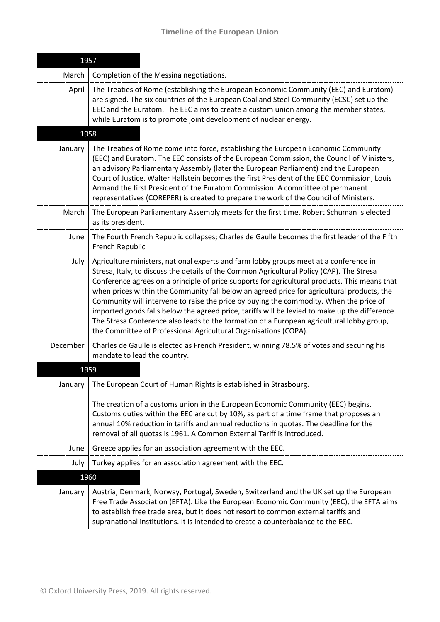| 1957     |                                                                                                                                                                                                                                                                                                                                                                                                                                                                                                                                                                                                                                                                                                                                                |  |
|----------|------------------------------------------------------------------------------------------------------------------------------------------------------------------------------------------------------------------------------------------------------------------------------------------------------------------------------------------------------------------------------------------------------------------------------------------------------------------------------------------------------------------------------------------------------------------------------------------------------------------------------------------------------------------------------------------------------------------------------------------------|--|
| March    | Completion of the Messina negotiations.                                                                                                                                                                                                                                                                                                                                                                                                                                                                                                                                                                                                                                                                                                        |  |
| April    | The Treaties of Rome (establishing the European Economic Community (EEC) and Euratom)<br>are signed. The six countries of the European Coal and Steel Community (ECSC) set up the<br>EEC and the Euratom. The EEC aims to create a custom union among the member states,<br>while Euratom is to promote joint development of nuclear energy.                                                                                                                                                                                                                                                                                                                                                                                                   |  |
|          | 1958                                                                                                                                                                                                                                                                                                                                                                                                                                                                                                                                                                                                                                                                                                                                           |  |
| January  | The Treaties of Rome come into force, establishing the European Economic Community<br>(EEC) and Euratom. The EEC consists of the European Commission, the Council of Ministers,<br>an advisory Parliamentary Assembly (later the European Parliament) and the European<br>Court of Justice. Walter Hallstein becomes the first President of the EEC Commission, Louis<br>Armand the first President of the Euratom Commission. A committee of permanent<br>representatives (COREPER) is created to prepare the work of the Council of Ministers.                                                                                                                                                                                               |  |
| March    | The European Parliamentary Assembly meets for the first time. Robert Schuman is elected<br>as its president.                                                                                                                                                                                                                                                                                                                                                                                                                                                                                                                                                                                                                                   |  |
| June     | The Fourth French Republic collapses; Charles de Gaulle becomes the first leader of the Fifth<br>French Republic                                                                                                                                                                                                                                                                                                                                                                                                                                                                                                                                                                                                                               |  |
| July     | Agriculture ministers, national experts and farm lobby groups meet at a conference in<br>Stresa, Italy, to discuss the details of the Common Agricultural Policy (CAP). The Stresa<br>Conference agrees on a principle of price supports for agricultural products. This means that<br>when prices within the Community fall below an agreed price for agricultural products, the<br>Community will intervene to raise the price by buying the commodity. When the price of<br>imported goods falls below the agreed price, tariffs will be levied to make up the difference.<br>The Stresa Conference also leads to the formation of a European agricultural lobby group,<br>the Committee of Professional Agricultural Organisations (COPA). |  |
| December | Charles de Gaulle is elected as French President, winning 78.5% of votes and securing his<br>mandate to lead the country.                                                                                                                                                                                                                                                                                                                                                                                                                                                                                                                                                                                                                      |  |
|          | 1959                                                                                                                                                                                                                                                                                                                                                                                                                                                                                                                                                                                                                                                                                                                                           |  |
| January  | The European Court of Human Rights is established in Strasbourg.<br>The creation of a customs union in the European Economic Community (EEC) begins.<br>Customs duties within the EEC are cut by 10%, as part of a time frame that proposes an<br>annual 10% reduction in tariffs and annual reductions in quotas. The deadline for the<br>removal of all quotas is 1961. A Common External Tariff is introduced.                                                                                                                                                                                                                                                                                                                              |  |
| June     | Greece applies for an association agreement with the EEC.                                                                                                                                                                                                                                                                                                                                                                                                                                                                                                                                                                                                                                                                                      |  |
| July     | Turkey applies for an association agreement with the EEC.                                                                                                                                                                                                                                                                                                                                                                                                                                                                                                                                                                                                                                                                                      |  |
|          | 1960                                                                                                                                                                                                                                                                                                                                                                                                                                                                                                                                                                                                                                                                                                                                           |  |
| January  | Austria, Denmark, Norway, Portugal, Sweden, Switzerland and the UK set up the European<br>Free Trade Association (EFTA). Like the European Economic Community (EEC), the EFTA aims<br>to establish free trade area, but it does not resort to common external tariffs and<br>supranational institutions. It is intended to create a counterbalance to the EEC.                                                                                                                                                                                                                                                                                                                                                                                 |  |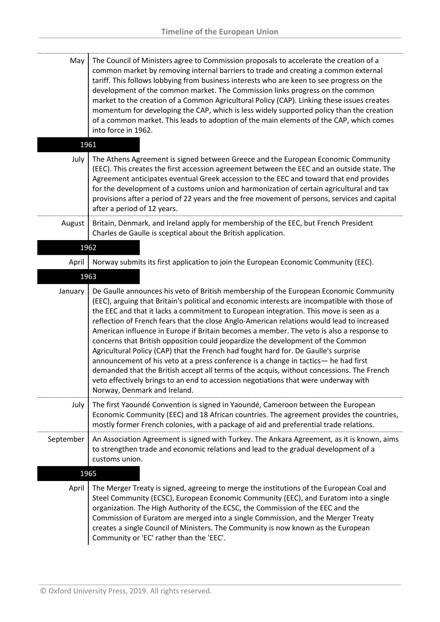| May       | The Council of Ministers agree to Commission proposals to accelerate the creation of a<br>common market by removing internal barriers to trade and creating a common external<br>tariff. This follows lobbying from business interests who are keen to see progress on the<br>development of the common market. The Commission links progress on the common<br>market to the creation of a Common Agricultural Policy (CAP). Linking these issues creates<br>momentum for developing the CAP, which is less widely supported policy than the creation<br>of a common market. This leads to adoption of the main elements of the CAP, which comes<br>into force in 1962.                                                                                                                                                                                                                                                                                         |
|-----------|-----------------------------------------------------------------------------------------------------------------------------------------------------------------------------------------------------------------------------------------------------------------------------------------------------------------------------------------------------------------------------------------------------------------------------------------------------------------------------------------------------------------------------------------------------------------------------------------------------------------------------------------------------------------------------------------------------------------------------------------------------------------------------------------------------------------------------------------------------------------------------------------------------------------------------------------------------------------|
|           | 1961                                                                                                                                                                                                                                                                                                                                                                                                                                                                                                                                                                                                                                                                                                                                                                                                                                                                                                                                                            |
| July      | The Athens Agreement is signed between Greece and the European Economic Community<br>(EEC). This creates the first accession agreement between the EEC and an outside state. The<br>Agreement anticipates eventual Greek accession to the EEC and toward that end provides<br>for the development of a customs union and harmonization of certain agricultural and tax<br>provisions after a period of 22 years and the free movement of persons, services and capital<br>after a period of 12 years.                                                                                                                                                                                                                                                                                                                                                                                                                                                           |
| August    | Britain, Denmark, and Ireland apply for membership of the EEC, but French President<br>Charles de Gaulle is sceptical about the British application.                                                                                                                                                                                                                                                                                                                                                                                                                                                                                                                                                                                                                                                                                                                                                                                                            |
| 1962      |                                                                                                                                                                                                                                                                                                                                                                                                                                                                                                                                                                                                                                                                                                                                                                                                                                                                                                                                                                 |
| April     | Norway submits its first application to join the European Economic Community (EEC).                                                                                                                                                                                                                                                                                                                                                                                                                                                                                                                                                                                                                                                                                                                                                                                                                                                                             |
|           | 1963                                                                                                                                                                                                                                                                                                                                                                                                                                                                                                                                                                                                                                                                                                                                                                                                                                                                                                                                                            |
| January   | De Gaulle announces his veto of British membership of the European Economic Community<br>(EEC), arguing that Britain's political and economic interests are incompatible with those of<br>the EEC and that it lacks a commitment to European integration. This move is seen as a<br>reflection of French fears that the close Anglo-American relations would lead to increased<br>American influence in Europe if Britain becomes a member. The veto is also a response to<br>concerns that British opposition could jeopardize the development of the Common<br>Agricultural Policy (CAP) that the French had fought hard for. De Gaulle's surprise<br>announcement of his veto at a press conference is a change in tactics- he had first<br>demanded that the British accept all terms of the acquis, without concessions. The French<br>veto effectively brings to an end to accession negotiations that were underway with<br>Norway, Denmark and Ireland. |
| July      | The first Yaoundé Convention is signed in Yaoundé, Cameroon between the European<br>Economic Community (EEC) and 18 African countries. The agreement provides the countries,<br>mostly former French colonies, with a package of aid and preferential trade relations.                                                                                                                                                                                                                                                                                                                                                                                                                                                                                                                                                                                                                                                                                          |
| September | An Association Agreement is signed with Turkey. The Ankara Agreement, as it is known, aims<br>to strengthen trade and economic relations and lead to the gradual development of a<br>customs union.                                                                                                                                                                                                                                                                                                                                                                                                                                                                                                                                                                                                                                                                                                                                                             |
| 1965      |                                                                                                                                                                                                                                                                                                                                                                                                                                                                                                                                                                                                                                                                                                                                                                                                                                                                                                                                                                 |
| April     | The Merger Treaty is signed, agreeing to merge the institutions of the European Coal and<br>Steel Community (ECSC), European Economic Community (EEC), and Euratom into a single<br>organization. The High Authority of the ECSC, the Commission of the EEC and the<br>Commission of Euratom are merged into a single Commission, and the Merger Treaty<br>creates a single Council of Ministers. The Community is now known as the European<br>Community or 'EC' rather than the 'EEC'.                                                                                                                                                                                                                                                                                                                                                                                                                                                                        |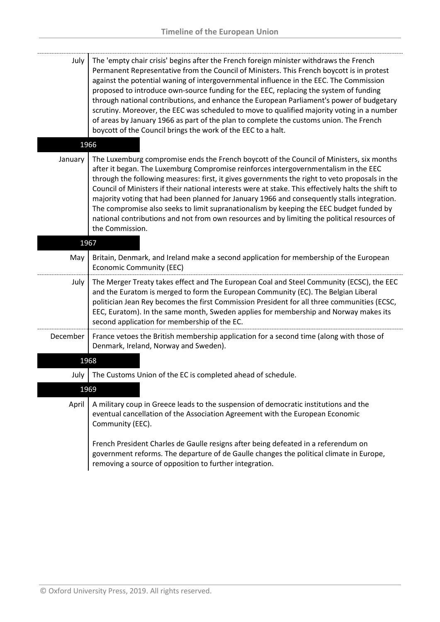| July | The 'empty chair crisis' begins after the French foreign minister withdraws the French     |
|------|--------------------------------------------------------------------------------------------|
|      | Permanent Representative from the Council of Ministers. This French boycott is in protest  |
|      | against the potential waning of intergovernmental influence in the EEC. The Commission     |
|      | proposed to introduce own-source funding for the EEC, replacing the system of funding      |
|      | through national contributions, and enhance the European Parliament's power of budgetary   |
|      | scrutiny. Moreover, the EEC was scheduled to move to qualified majority voting in a number |
|      | of areas by January 1966 as part of the plan to complete the customs union. The French     |
|      | boycott of the Council brings the work of the EEC to a halt.                               |

## 1966

January The Luxemburg compromise ends the French boycott of the Council of Ministers, six months after it began. The Luxemburg Compromise reinforces intergovernmentalism in the EEC through the following measures: first, it gives governments the right to veto proposals in the Council of Ministers if their national interests were at stake. This effectively halts the shift to majority voting that had been planned for January 1966 and consequently stalls integration. The compromise also seeks to limit supranationalism by keeping the EEC budget funded by national contributions and not from own resources and by limiting the political resources of the Commission.

| 1967     |                                                                                                                                                                                                                                                                                                                                                                                                                       |
|----------|-----------------------------------------------------------------------------------------------------------------------------------------------------------------------------------------------------------------------------------------------------------------------------------------------------------------------------------------------------------------------------------------------------------------------|
| May      | Britain, Denmark, and Ireland make a second application for membership of the European<br><b>Economic Community (EEC)</b>                                                                                                                                                                                                                                                                                             |
| July     | The Merger Treaty takes effect and The European Coal and Steel Community (ECSC), the EEC<br>and the Euratom is merged to form the European Community (EC). The Belgian Liberal<br>politician Jean Rey becomes the first Commission President for all three communities (ECSC,<br>EEC, Euratom). In the same month, Sweden applies for membership and Norway makes its<br>second application for membership of the EC. |
| December | France vetoes the British membership application for a second time (along with those of<br>Denmark, Ireland, Norway and Sweden).                                                                                                                                                                                                                                                                                      |
| 1968     |                                                                                                                                                                                                                                                                                                                                                                                                                       |

July  $\vert$  The Customs Union of the EC is completed ahead of schedule.

## 1969

April | A military coup in Greece leads to the suspension of democratic institutions and the eventual cancellation of the Association Agreement with the European Economic Community (EEC).

French President Charles de Gaulle resigns after being defeated in a referendum on government reforms. The departure of de Gaulle changes the political climate in Europe, removing a source of opposition to further integration.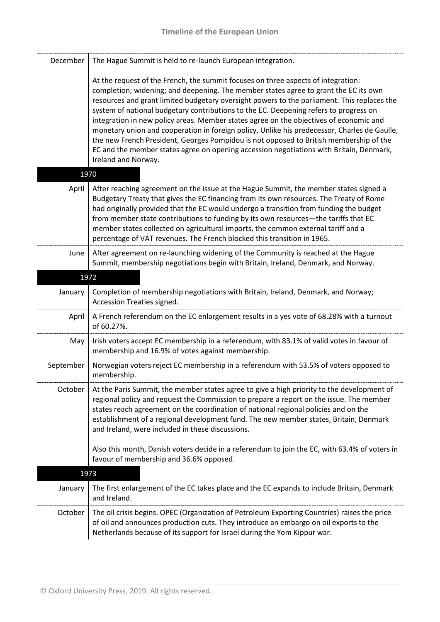| December  | The Hague Summit is held to re-launch European integration.                                                                                                                                                                                                                                                                                                                                                                                                                                                                                                                                                                                                                                                                                                             |
|-----------|-------------------------------------------------------------------------------------------------------------------------------------------------------------------------------------------------------------------------------------------------------------------------------------------------------------------------------------------------------------------------------------------------------------------------------------------------------------------------------------------------------------------------------------------------------------------------------------------------------------------------------------------------------------------------------------------------------------------------------------------------------------------------|
|           | At the request of the French, the summit focuses on three aspects of integration:<br>completion; widening; and deepening. The member states agree to grant the EC its own<br>resources and grant limited budgetary oversight powers to the parliament. This replaces the<br>system of national budgetary contributions to the EC. Deepening refers to progress on<br>integration in new policy areas. Member states agree on the objectives of economic and<br>monetary union and cooperation in foreign policy. Unlike his predecessor, Charles de Gaulle,<br>the new French President, Georges Pompidou is not opposed to British membership of the<br>EC and the member states agree on opening accession negotiations with Britain, Denmark,<br>Ireland and Norway. |
| 1970      |                                                                                                                                                                                                                                                                                                                                                                                                                                                                                                                                                                                                                                                                                                                                                                         |
| April     | After reaching agreement on the issue at the Hague Summit, the member states signed a<br>Budgetary Treaty that gives the EC financing from its own resources. The Treaty of Rome<br>had originally provided that the EC would undergo a transition from funding the budget<br>from member state contributions to funding by its own resources-the tariffs that EC<br>member states collected on agricultural imports, the common external tariff and a<br>percentage of VAT revenues. The French blocked this transition in 1965.                                                                                                                                                                                                                                       |
| June      | After agreement on re-launching widening of the Community is reached at the Hague<br>Summit, membership negotiations begin with Britain, Ireland, Denmark, and Norway.                                                                                                                                                                                                                                                                                                                                                                                                                                                                                                                                                                                                  |
| 1972      |                                                                                                                                                                                                                                                                                                                                                                                                                                                                                                                                                                                                                                                                                                                                                                         |
| January   | Completion of membership negotiations with Britain, Ireland, Denmark, and Norway;<br>Accession Treaties signed.                                                                                                                                                                                                                                                                                                                                                                                                                                                                                                                                                                                                                                                         |
| April     | A French referendum on the EC enlargement results in a yes vote of 68.28% with a turnout<br>of 60.27%.                                                                                                                                                                                                                                                                                                                                                                                                                                                                                                                                                                                                                                                                  |
| May       | Irish voters accept EC membership in a referendum, with 83.1% of valid votes in favour of<br>membership and 16.9% of votes against membership.                                                                                                                                                                                                                                                                                                                                                                                                                                                                                                                                                                                                                          |
| September | Norwegian voters reject EC membership in a referendum with 53.5% of voters opposed to<br>membership.                                                                                                                                                                                                                                                                                                                                                                                                                                                                                                                                                                                                                                                                    |
| October   | At the Paris Summit, the member states agree to give a high priority to the development of<br>regional policy and request the Commission to prepare a report on the issue. The member<br>states reach agreement on the coordination of national regional policies and on the<br>establishment of a regional development fund. The new member states, Britain, Denmark<br>and Ireland, were included in these discussions.                                                                                                                                                                                                                                                                                                                                               |
|           | Also this month, Danish voters decide in a referendum to join the EC, with 63.4% of voters in<br>favour of membership and 36.6% opposed.                                                                                                                                                                                                                                                                                                                                                                                                                                                                                                                                                                                                                                |
| 1973      |                                                                                                                                                                                                                                                                                                                                                                                                                                                                                                                                                                                                                                                                                                                                                                         |
| January   | The first enlargement of the EC takes place and the EC expands to include Britain, Denmark<br>and Ireland.                                                                                                                                                                                                                                                                                                                                                                                                                                                                                                                                                                                                                                                              |
| October   | The oil crisis begins. OPEC (Organization of Petroleum Exporting Countries) raises the price<br>of oil and announces production cuts. They introduce an embargo on oil exports to the<br>Netherlands because of its support for Israel during the Yom Kippur war.                                                                                                                                                                                                                                                                                                                                                                                                                                                                                                       |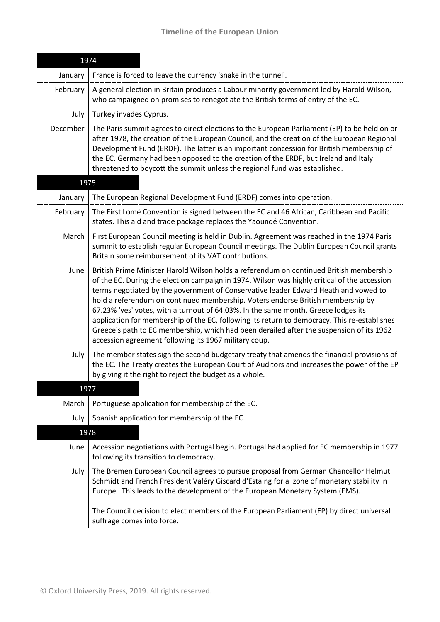| 1974     |                                                                                                                                                                                                                                                                                                                                                                                                                                                                                                                                                                                                                                                                                                              |  |
|----------|--------------------------------------------------------------------------------------------------------------------------------------------------------------------------------------------------------------------------------------------------------------------------------------------------------------------------------------------------------------------------------------------------------------------------------------------------------------------------------------------------------------------------------------------------------------------------------------------------------------------------------------------------------------------------------------------------------------|--|
| January  | France is forced to leave the currency 'snake in the tunnel'.                                                                                                                                                                                                                                                                                                                                                                                                                                                                                                                                                                                                                                                |  |
| February | A general election in Britain produces a Labour minority government led by Harold Wilson,<br>who campaigned on promises to renegotiate the British terms of entry of the EC.                                                                                                                                                                                                                                                                                                                                                                                                                                                                                                                                 |  |
| July     | Turkey invades Cyprus.                                                                                                                                                                                                                                                                                                                                                                                                                                                                                                                                                                                                                                                                                       |  |
| December | The Paris summit agrees to direct elections to the European Parliament (EP) to be held on or<br>after 1978, the creation of the European Council, and the creation of the European Regional<br>Development Fund (ERDF). The latter is an important concession for British membership of<br>the EC. Germany had been opposed to the creation of the ERDF, but Ireland and Italy<br>threatened to boycott the summit unless the regional fund was established.                                                                                                                                                                                                                                                 |  |
| 1975     |                                                                                                                                                                                                                                                                                                                                                                                                                                                                                                                                                                                                                                                                                                              |  |
| January  | The European Regional Development Fund (ERDF) comes into operation.                                                                                                                                                                                                                                                                                                                                                                                                                                                                                                                                                                                                                                          |  |
| February | The First Lomé Convention is signed between the EC and 46 African, Caribbean and Pacific<br>states. This aid and trade package replaces the Yaoundé Convention.                                                                                                                                                                                                                                                                                                                                                                                                                                                                                                                                              |  |
| March    | First European Council meeting is held in Dublin. Agreement was reached in the 1974 Paris<br>summit to establish regular European Council meetings. The Dublin European Council grants<br>Britain some reimbursement of its VAT contributions.                                                                                                                                                                                                                                                                                                                                                                                                                                                               |  |
| June     | British Prime Minister Harold Wilson holds a referendum on continued British membership<br>of the EC. During the election campaign in 1974, Wilson was highly critical of the accession<br>terms negotiated by the government of Conservative leader Edward Heath and vowed to<br>hold a referendum on continued membership. Voters endorse British membership by<br>67.23% 'yes' votes, with a turnout of 64.03%. In the same month, Greece lodges its<br>application for membership of the EC, following its return to democracy. This re-establishes<br>Greece's path to EC membership, which had been derailed after the suspension of its 1962<br>accession agreement following its 1967 military coup. |  |
| July     | The member states sign the second budgetary treaty that amends the financial provisions of<br>the EC. The Treaty creates the European Court of Auditors and increases the power of the EP<br>by giving it the right to reject the budget as a whole.                                                                                                                                                                                                                                                                                                                                                                                                                                                         |  |
|          | 1977                                                                                                                                                                                                                                                                                                                                                                                                                                                                                                                                                                                                                                                                                                         |  |
| March    | Portuguese application for membership of the EC.                                                                                                                                                                                                                                                                                                                                                                                                                                                                                                                                                                                                                                                             |  |
| July     | Spanish application for membership of the EC.                                                                                                                                                                                                                                                                                                                                                                                                                                                                                                                                                                                                                                                                |  |
|          | 1978                                                                                                                                                                                                                                                                                                                                                                                                                                                                                                                                                                                                                                                                                                         |  |
| June     | Accession negotiations with Portugal begin. Portugal had applied for EC membership in 1977<br>following its transition to democracy.                                                                                                                                                                                                                                                                                                                                                                                                                                                                                                                                                                         |  |
| July     | The Bremen European Council agrees to pursue proposal from German Chancellor Helmut<br>Schmidt and French President Valéry Giscard d'Estaing for a 'zone of monetary stability in<br>Europe'. This leads to the development of the European Monetary System (EMS).                                                                                                                                                                                                                                                                                                                                                                                                                                           |  |
|          | The Council decision to elect members of the European Parliament (EP) by direct universal<br>suffrage comes into force.                                                                                                                                                                                                                                                                                                                                                                                                                                                                                                                                                                                      |  |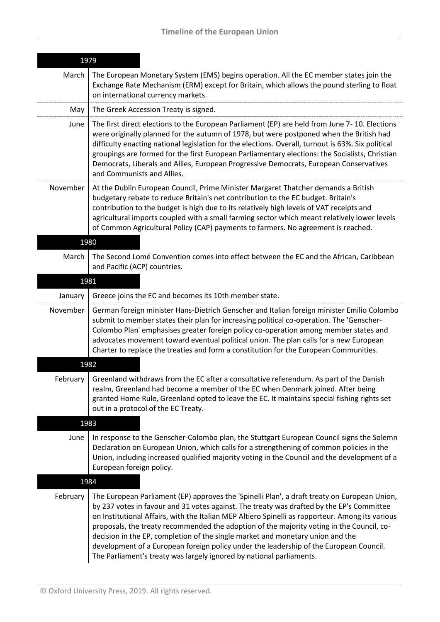| 1979     |                                                                                                                                                                                                                                                                                                                                                                                                                                                                                                                                                                                                                                                |
|----------|------------------------------------------------------------------------------------------------------------------------------------------------------------------------------------------------------------------------------------------------------------------------------------------------------------------------------------------------------------------------------------------------------------------------------------------------------------------------------------------------------------------------------------------------------------------------------------------------------------------------------------------------|
| March    | The European Monetary System (EMS) begins operation. All the EC member states join the<br>Exchange Rate Mechanism (ERM) except for Britain, which allows the pound sterling to float<br>on international currency markets.                                                                                                                                                                                                                                                                                                                                                                                                                     |
| May      | The Greek Accession Treaty is signed.                                                                                                                                                                                                                                                                                                                                                                                                                                                                                                                                                                                                          |
| June     | The first direct elections to the European Parliament (EP) are held from June 7-10. Elections<br>were originally planned for the autumn of 1978, but were postponed when the British had<br>difficulty enacting national legislation for the elections. Overall, turnout is 63%. Six political<br>groupings are formed for the first European Parliamentary elections: the Socialists, Christian<br>Democrats, Liberals and Allies, European Progressive Democrats, European Conservatives<br>and Communists and Allies.                                                                                                                       |
| November | At the Dublin European Council, Prime Minister Margaret Thatcher demands a British<br>budgetary rebate to reduce Britain's net contribution to the EC budget. Britain's<br>contribution to the budget is high due to its relatively high levels of VAT receipts and<br>agricultural imports coupled with a small farming sector which meant relatively lower levels<br>of Common Agricultural Policy (CAP) payments to farmers. No agreement is reached.                                                                                                                                                                                       |
| 1980     |                                                                                                                                                                                                                                                                                                                                                                                                                                                                                                                                                                                                                                                |
| March    | The Second Lomé Convention comes into effect between the EC and the African, Caribbean<br>and Pacific (ACP) countries.                                                                                                                                                                                                                                                                                                                                                                                                                                                                                                                         |
| 1981     |                                                                                                                                                                                                                                                                                                                                                                                                                                                                                                                                                                                                                                                |
| January  | Greece joins the EC and becomes its 10th member state.                                                                                                                                                                                                                                                                                                                                                                                                                                                                                                                                                                                         |
| November | German foreign minister Hans-Dietrich Genscher and Italian foreign minister Emilio Colombo<br>submit to member states their plan for increasing political co-operation. The 'Genscher-<br>Colombo Plan' emphasises greater foreign policy co-operation among member states and<br>advocates movement toward eventual political union. The plan calls for a new European<br>Charter to replace the treaties and form a constitution for the European Communities.                                                                                                                                                                               |
| 1982     |                                                                                                                                                                                                                                                                                                                                                                                                                                                                                                                                                                                                                                                |
| February | Greenland withdraws from the EC after a consultative referendum. As part of the Danish<br>realm, Greenland had become a member of the EC when Denmark joined. After being<br>granted Home Rule, Greenland opted to leave the EC. It maintains special fishing rights set<br>out in a protocol of the EC Treaty.                                                                                                                                                                                                                                                                                                                                |
| 1983     |                                                                                                                                                                                                                                                                                                                                                                                                                                                                                                                                                                                                                                                |
| June     | In response to the Genscher-Colombo plan, the Stuttgart European Council signs the Solemn<br>Declaration on European Union, which calls for a strengthening of common policies in the<br>Union, including increased qualified majority voting in the Council and the development of a<br>European foreign policy.                                                                                                                                                                                                                                                                                                                              |
| 1984     |                                                                                                                                                                                                                                                                                                                                                                                                                                                                                                                                                                                                                                                |
| February | The European Parliament (EP) approves the 'Spinelli Plan', a draft treaty on European Union,<br>by 237 votes in favour and 31 votes against. The treaty was drafted by the EP's Committee<br>on Institutional Affairs, with the Italian MEP Altiero Spinelli as rapporteur. Among its various<br>proposals, the treaty recommended the adoption of the majority voting in the Council, co-<br>decision in the EP, completion of the single market and monetary union and the<br>development of a European foreign policy under the leadership of the European Council.<br>The Parliament's treaty was largely ignored by national parliaments. |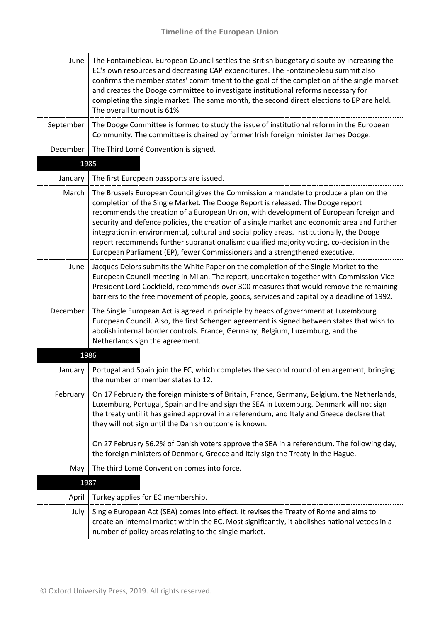| June      | The Fontainebleau European Council settles the British budgetary dispute by increasing the<br>EC's own resources and decreasing CAP expenditures. The Fontainebleau summit also<br>confirms the member states' commitment to the goal of the completion of the single market<br>and creates the Dooge committee to investigate institutional reforms necessary for<br>completing the single market. The same month, the second direct elections to EP are held.<br>The overall turnout is 61%.                                                                                                                                              |
|-----------|---------------------------------------------------------------------------------------------------------------------------------------------------------------------------------------------------------------------------------------------------------------------------------------------------------------------------------------------------------------------------------------------------------------------------------------------------------------------------------------------------------------------------------------------------------------------------------------------------------------------------------------------|
| September | The Dooge Committee is formed to study the issue of institutional reform in the European<br>Community. The committee is chaired by former Irish foreign minister James Dooge.                                                                                                                                                                                                                                                                                                                                                                                                                                                               |
| December  | The Third Lomé Convention is signed.                                                                                                                                                                                                                                                                                                                                                                                                                                                                                                                                                                                                        |
|           | 1985                                                                                                                                                                                                                                                                                                                                                                                                                                                                                                                                                                                                                                        |
| January   | The first European passports are issued.                                                                                                                                                                                                                                                                                                                                                                                                                                                                                                                                                                                                    |
| March     | The Brussels European Council gives the Commission a mandate to produce a plan on the<br>completion of the Single Market. The Dooge Report is released. The Dooge report<br>recommends the creation of a European Union, with development of European foreign and<br>security and defence policies, the creation of a single market and economic area and further<br>integration in environmental, cultural and social policy areas. Institutionally, the Dooge<br>report recommends further supranationalism: qualified majority voting, co-decision in the<br>European Parliament (EP), fewer Commissioners and a strengthened executive. |
| June      | Jacques Delors submits the White Paper on the completion of the Single Market to the<br>European Council meeting in Milan. The report, undertaken together with Commission Vice-<br>President Lord Cockfield, recommends over 300 measures that would remove the remaining<br>barriers to the free movement of people, goods, services and capital by a deadline of 1992.                                                                                                                                                                                                                                                                   |
| December  | The Single European Act is agreed in principle by heads of government at Luxembourg<br>European Council. Also, the first Schengen agreement is signed between states that wish to<br>abolish internal border controls. France, Germany, Belgium, Luxemburg, and the<br>Netherlands sign the agreement.                                                                                                                                                                                                                                                                                                                                      |
|           | 1986                                                                                                                                                                                                                                                                                                                                                                                                                                                                                                                                                                                                                                        |
| January   | Portugal and Spain join the EC, which completes the second round of enlargement, bringing<br>the number of member states to 12.                                                                                                                                                                                                                                                                                                                                                                                                                                                                                                             |
| February  | On 17 February the foreign ministers of Britain, France, Germany, Belgium, the Netherlands,<br>Luxemburg, Portugal, Spain and Ireland sign the SEA in Luxemburg. Denmark will not sign<br>the treaty until it has gained approval in a referendum, and Italy and Greece declare that<br>they will not sign until the Danish outcome is known.<br>On 27 February 56.2% of Danish voters approve the SEA in a referendum. The following day,                                                                                                                                                                                                  |
|           | the foreign ministers of Denmark, Greece and Italy sign the Treaty in the Hague.                                                                                                                                                                                                                                                                                                                                                                                                                                                                                                                                                            |
| May       | The third Lomé Convention comes into force.                                                                                                                                                                                                                                                                                                                                                                                                                                                                                                                                                                                                 |
|           | 1987                                                                                                                                                                                                                                                                                                                                                                                                                                                                                                                                                                                                                                        |
| April     | Turkey applies for EC membership.                                                                                                                                                                                                                                                                                                                                                                                                                                                                                                                                                                                                           |
| July      | Single European Act (SEA) comes into effect. It revises the Treaty of Rome and aims to<br>create an internal market within the EC. Most significantly, it abolishes national vetoes in a<br>number of policy areas relating to the single market.                                                                                                                                                                                                                                                                                                                                                                                           |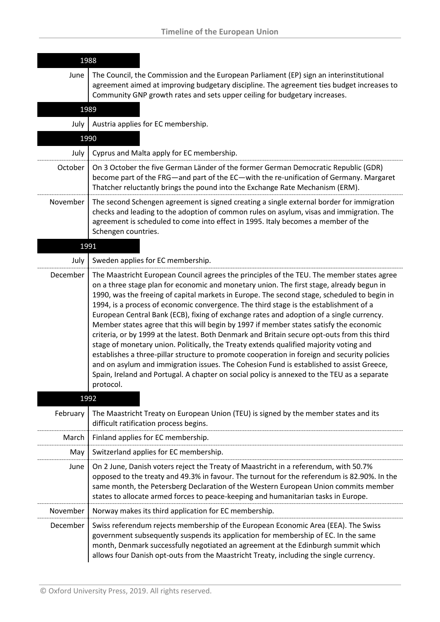| 1988     |                                                                                                                                                                                                                                                                                                                                                                                                                                                                                                                                                                                                                                                                                                                                                                                                                                                                                                                                                                                                                                                                       |
|----------|-----------------------------------------------------------------------------------------------------------------------------------------------------------------------------------------------------------------------------------------------------------------------------------------------------------------------------------------------------------------------------------------------------------------------------------------------------------------------------------------------------------------------------------------------------------------------------------------------------------------------------------------------------------------------------------------------------------------------------------------------------------------------------------------------------------------------------------------------------------------------------------------------------------------------------------------------------------------------------------------------------------------------------------------------------------------------|
| June     | The Council, the Commission and the European Parliament (EP) sign an interinstitutional<br>agreement aimed at improving budgetary discipline. The agreement ties budget increases to<br>Community GNP growth rates and sets upper ceiling for budgetary increases.                                                                                                                                                                                                                                                                                                                                                                                                                                                                                                                                                                                                                                                                                                                                                                                                    |
| 1989     |                                                                                                                                                                                                                                                                                                                                                                                                                                                                                                                                                                                                                                                                                                                                                                                                                                                                                                                                                                                                                                                                       |
| July     | Austria applies for EC membership.                                                                                                                                                                                                                                                                                                                                                                                                                                                                                                                                                                                                                                                                                                                                                                                                                                                                                                                                                                                                                                    |
|          | 1990                                                                                                                                                                                                                                                                                                                                                                                                                                                                                                                                                                                                                                                                                                                                                                                                                                                                                                                                                                                                                                                                  |
| July     | Cyprus and Malta apply for EC membership.                                                                                                                                                                                                                                                                                                                                                                                                                                                                                                                                                                                                                                                                                                                                                                                                                                                                                                                                                                                                                             |
| October  | On 3 October the five German Länder of the former German Democratic Republic (GDR)<br>become part of the FRG—and part of the EC—with the re-unification of Germany. Margaret<br>Thatcher reluctantly brings the pound into the Exchange Rate Mechanism (ERM).                                                                                                                                                                                                                                                                                                                                                                                                                                                                                                                                                                                                                                                                                                                                                                                                         |
| November | The second Schengen agreement is signed creating a single external border for immigration<br>checks and leading to the adoption of common rules on asylum, visas and immigration. The<br>agreement is scheduled to come into effect in 1995. Italy becomes a member of the<br>Schengen countries.                                                                                                                                                                                                                                                                                                                                                                                                                                                                                                                                                                                                                                                                                                                                                                     |
| 1991     |                                                                                                                                                                                                                                                                                                                                                                                                                                                                                                                                                                                                                                                                                                                                                                                                                                                                                                                                                                                                                                                                       |
| July     | Sweden applies for EC membership.                                                                                                                                                                                                                                                                                                                                                                                                                                                                                                                                                                                                                                                                                                                                                                                                                                                                                                                                                                                                                                     |
| December | The Maastricht European Council agrees the principles of the TEU. The member states agree<br>on a three stage plan for economic and monetary union. The first stage, already begun in<br>1990, was the freeing of capital markets in Europe. The second stage, scheduled to begin in<br>1994, is a process of economic convergence. The third stage is the establishment of a<br>European Central Bank (ECB), fixing of exchange rates and adoption of a single currency.<br>Member states agree that this will begin by 1997 if member states satisfy the economic<br>criteria, or by 1999 at the latest. Both Denmark and Britain secure opt-outs from this third<br>stage of monetary union. Politically, the Treaty extends qualified majority voting and<br>establishes a three-pillar structure to promote cooperation in foreign and security policies<br>and on asylum and immigration issues. The Cohesion Fund is established to assist Greece,<br>Spain, Ireland and Portugal. A chapter on social policy is annexed to the TEU as a separate<br>protocol. |
|          | 1992                                                                                                                                                                                                                                                                                                                                                                                                                                                                                                                                                                                                                                                                                                                                                                                                                                                                                                                                                                                                                                                                  |
| February | The Maastricht Treaty on European Union (TEU) is signed by the member states and its<br>difficult ratification process begins.                                                                                                                                                                                                                                                                                                                                                                                                                                                                                                                                                                                                                                                                                                                                                                                                                                                                                                                                        |
| March    | Finland applies for EC membership.                                                                                                                                                                                                                                                                                                                                                                                                                                                                                                                                                                                                                                                                                                                                                                                                                                                                                                                                                                                                                                    |
| May      | Switzerland applies for EC membership.                                                                                                                                                                                                                                                                                                                                                                                                                                                                                                                                                                                                                                                                                                                                                                                                                                                                                                                                                                                                                                |
| June     | On 2 June, Danish voters reject the Treaty of Maastricht in a referendum, with 50.7%<br>opposed to the treaty and 49.3% in favour. The turnout for the referendum is 82.90%. In the<br>same month, the Petersberg Declaration of the Western European Union commits member<br>states to allocate armed forces to peace-keeping and humanitarian tasks in Europe.                                                                                                                                                                                                                                                                                                                                                                                                                                                                                                                                                                                                                                                                                                      |
| November | Norway makes its third application for EC membership.                                                                                                                                                                                                                                                                                                                                                                                                                                                                                                                                                                                                                                                                                                                                                                                                                                                                                                                                                                                                                 |
| December | Swiss referendum rejects membership of the European Economic Area (EEA). The Swiss<br>government subsequently suspends its application for membership of EC. In the same<br>month, Denmark successfully negotiated an agreement at the Edinburgh summit which<br>allows four Danish opt-outs from the Maastricht Treaty, including the single currency.                                                                                                                                                                                                                                                                                                                                                                                                                                                                                                                                                                                                                                                                                                               |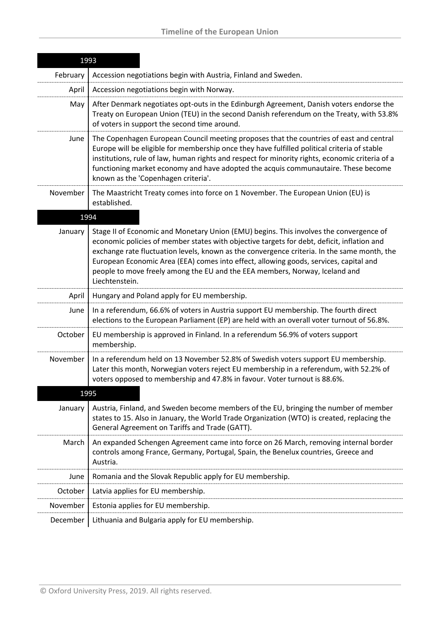|          | 1993                                                                                                                                                                                                                                                                                                                                                                                                                                                                          |
|----------|-------------------------------------------------------------------------------------------------------------------------------------------------------------------------------------------------------------------------------------------------------------------------------------------------------------------------------------------------------------------------------------------------------------------------------------------------------------------------------|
| February | Accession negotiations begin with Austria, Finland and Sweden.                                                                                                                                                                                                                                                                                                                                                                                                                |
| April    | Accession negotiations begin with Norway.                                                                                                                                                                                                                                                                                                                                                                                                                                     |
| May      | After Denmark negotiates opt-outs in the Edinburgh Agreement, Danish voters endorse the<br>Treaty on European Union (TEU) in the second Danish referendum on the Treaty, with 53.8%<br>of voters in support the second time around.                                                                                                                                                                                                                                           |
| June     | The Copenhagen European Council meeting proposes that the countries of east and central<br>Europe will be eligible for membership once they have fulfilled political criteria of stable<br>institutions, rule of law, human rights and respect for minority rights, economic criteria of a<br>functioning market economy and have adopted the acquis communautaire. These become<br>known as the 'Copenhagen criteria'.                                                       |
| November | The Maastricht Treaty comes into force on 1 November. The European Union (EU) is<br>established.                                                                                                                                                                                                                                                                                                                                                                              |
|          | 1994                                                                                                                                                                                                                                                                                                                                                                                                                                                                          |
| January  | Stage II of Economic and Monetary Union (EMU) begins. This involves the convergence of<br>economic policies of member states with objective targets for debt, deficit, inflation and<br>exchange rate fluctuation levels, known as the convergence criteria. In the same month, the<br>European Economic Area (EEA) comes into effect, allowing goods, services, capital and<br>people to move freely among the EU and the EEA members, Norway, Iceland and<br>Liechtenstein. |
| April    | Hungary and Poland apply for EU membership.                                                                                                                                                                                                                                                                                                                                                                                                                                   |
| June     | In a referendum, 66.6% of voters in Austria support EU membership. The fourth direct<br>elections to the European Parliament (EP) are held with an overall voter turnout of 56.8%.                                                                                                                                                                                                                                                                                            |
| October  | EU membership is approved in Finland. In a referendum 56.9% of voters support<br>membership.                                                                                                                                                                                                                                                                                                                                                                                  |
| November | In a referendum held on 13 November 52.8% of Swedish voters support EU membership.<br>Later this month, Norwegian voters reject EU membership in a referendum, with 52.2% of<br>voters opposed to membership and 47.8% in favour. Voter turnout is 88.6%.                                                                                                                                                                                                                     |
| 1995     |                                                                                                                                                                                                                                                                                                                                                                                                                                                                               |
| January  | Austria, Finland, and Sweden become members of the EU, bringing the number of member<br>states to 15. Also in January, the World Trade Organization (WTO) is created, replacing the<br>General Agreement on Tariffs and Trade (GATT).                                                                                                                                                                                                                                         |
| March    | An expanded Schengen Agreement came into force on 26 March, removing internal border<br>controls among France, Germany, Portugal, Spain, the Benelux countries, Greece and<br>Austria.                                                                                                                                                                                                                                                                                        |
| June     | Romania and the Slovak Republic apply for EU membership.                                                                                                                                                                                                                                                                                                                                                                                                                      |
| October  | Latvia applies for EU membership.                                                                                                                                                                                                                                                                                                                                                                                                                                             |
| November | Estonia applies for EU membership.                                                                                                                                                                                                                                                                                                                                                                                                                                            |
| December | Lithuania and Bulgaria apply for EU membership.                                                                                                                                                                                                                                                                                                                                                                                                                               |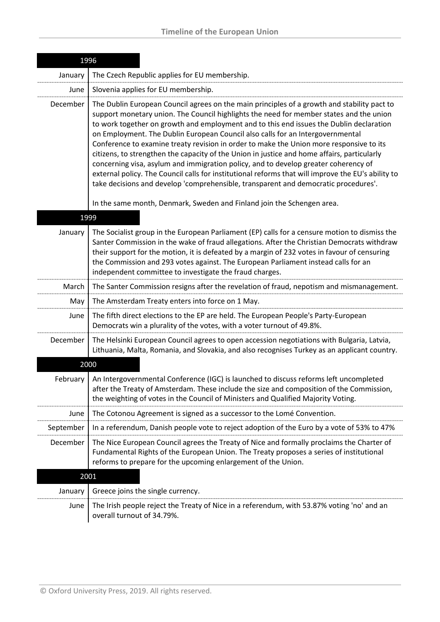|           | 1996                                                                                                                                                                                                                                                                                                                                                                                                                                                                                                                                                                                                                                                                                                                                                                                                                                              |
|-----------|---------------------------------------------------------------------------------------------------------------------------------------------------------------------------------------------------------------------------------------------------------------------------------------------------------------------------------------------------------------------------------------------------------------------------------------------------------------------------------------------------------------------------------------------------------------------------------------------------------------------------------------------------------------------------------------------------------------------------------------------------------------------------------------------------------------------------------------------------|
| January   | The Czech Republic applies for EU membership.                                                                                                                                                                                                                                                                                                                                                                                                                                                                                                                                                                                                                                                                                                                                                                                                     |
| June      | Slovenia applies for EU membership.                                                                                                                                                                                                                                                                                                                                                                                                                                                                                                                                                                                                                                                                                                                                                                                                               |
| December  | The Dublin European Council agrees on the main principles of a growth and stability pact to<br>support monetary union. The Council highlights the need for member states and the union<br>to work together on growth and employment and to this end issues the Dublin declaration<br>on Employment. The Dublin European Council also calls for an Intergovernmental<br>Conference to examine treaty revision in order to make the Union more responsive to its<br>citizens, to strengthen the capacity of the Union in justice and home affairs, particularly<br>concerning visa, asylum and immigration policy, and to develop greater coherency of<br>external policy. The Council calls for institutional reforms that will improve the EU's ability to<br>take decisions and develop 'comprehensible, transparent and democratic procedures'. |
|           | In the same month, Denmark, Sweden and Finland join the Schengen area.                                                                                                                                                                                                                                                                                                                                                                                                                                                                                                                                                                                                                                                                                                                                                                            |
| 1999      |                                                                                                                                                                                                                                                                                                                                                                                                                                                                                                                                                                                                                                                                                                                                                                                                                                                   |
| January   | The Socialist group in the European Parliament (EP) calls for a censure motion to dismiss the<br>Santer Commission in the wake of fraud allegations. After the Christian Democrats withdraw<br>their support for the motion, it is defeated by a margin of 232 votes in favour of censuring<br>the Commission and 293 votes against. The European Parliament instead calls for an<br>independent committee to investigate the fraud charges.                                                                                                                                                                                                                                                                                                                                                                                                      |
| March     | The Santer Commission resigns after the revelation of fraud, nepotism and mismanagement.                                                                                                                                                                                                                                                                                                                                                                                                                                                                                                                                                                                                                                                                                                                                                          |
| May       | The Amsterdam Treaty enters into force on 1 May.                                                                                                                                                                                                                                                                                                                                                                                                                                                                                                                                                                                                                                                                                                                                                                                                  |
| June      | The fifth direct elections to the EP are held. The European People's Party-European<br>Democrats win a plurality of the votes, with a voter turnout of 49.8%.                                                                                                                                                                                                                                                                                                                                                                                                                                                                                                                                                                                                                                                                                     |
| December  | The Helsinki European Council agrees to open accession negotiations with Bulgaria, Latvia,<br>Lithuania, Malta, Romania, and Slovakia, and also recognises Turkey as an applicant country.                                                                                                                                                                                                                                                                                                                                                                                                                                                                                                                                                                                                                                                        |
|           | 2000                                                                                                                                                                                                                                                                                                                                                                                                                                                                                                                                                                                                                                                                                                                                                                                                                                              |
| February  | An Intergovernmental Conference (IGC) is launched to discuss reforms left uncompleted<br>after the Treaty of Amsterdam. These include the size and composition of the Commission,<br>the weighting of votes in the Council of Ministers and Qualified Majority Voting.                                                                                                                                                                                                                                                                                                                                                                                                                                                                                                                                                                            |
| June      | The Cotonou Agreement is signed as a successor to the Lomé Convention.                                                                                                                                                                                                                                                                                                                                                                                                                                                                                                                                                                                                                                                                                                                                                                            |
| September | In a referendum, Danish people vote to reject adoption of the Euro by a vote of 53% to 47%                                                                                                                                                                                                                                                                                                                                                                                                                                                                                                                                                                                                                                                                                                                                                        |
| December  | The Nice European Council agrees the Treaty of Nice and formally proclaims the Charter of<br>Fundamental Rights of the European Union. The Treaty proposes a series of institutional<br>reforms to prepare for the upcoming enlargement of the Union.                                                                                                                                                                                                                                                                                                                                                                                                                                                                                                                                                                                             |
| 2001      |                                                                                                                                                                                                                                                                                                                                                                                                                                                                                                                                                                                                                                                                                                                                                                                                                                                   |
| January   | Greece joins the single currency.                                                                                                                                                                                                                                                                                                                                                                                                                                                                                                                                                                                                                                                                                                                                                                                                                 |
| June      | The Irish people reject the Treaty of Nice in a referendum, with 53.87% voting 'no' and an<br>overall turnout of 34.79%.                                                                                                                                                                                                                                                                                                                                                                                                                                                                                                                                                                                                                                                                                                                          |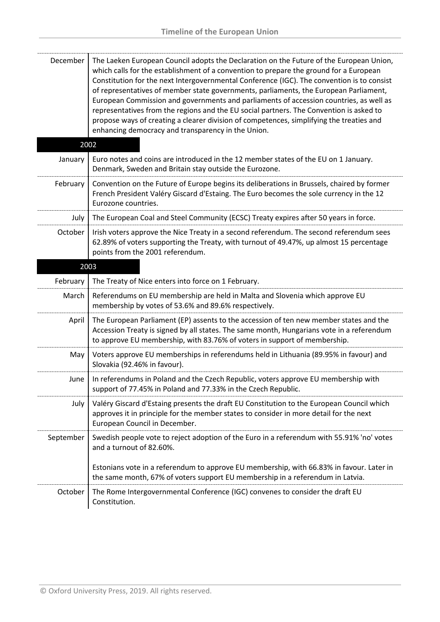| December  | The Laeken European Council adopts the Declaration on the Future of the European Union,<br>which calls for the establishment of a convention to prepare the ground for a European<br>Constitution for the next Intergovernmental Conference (IGC). The convention is to consist<br>of representatives of member state governments, parliaments, the European Parliament,<br>European Commission and governments and parliaments of accession countries, as well as<br>representatives from the regions and the EU social partners. The Convention is asked to<br>propose ways of creating a clearer division of competences, simplifying the treaties and<br>enhancing democracy and transparency in the Union. |
|-----------|-----------------------------------------------------------------------------------------------------------------------------------------------------------------------------------------------------------------------------------------------------------------------------------------------------------------------------------------------------------------------------------------------------------------------------------------------------------------------------------------------------------------------------------------------------------------------------------------------------------------------------------------------------------------------------------------------------------------|
|           | 2002                                                                                                                                                                                                                                                                                                                                                                                                                                                                                                                                                                                                                                                                                                            |
| January   | Euro notes and coins are introduced in the 12 member states of the EU on 1 January.<br>Denmark, Sweden and Britain stay outside the Eurozone.                                                                                                                                                                                                                                                                                                                                                                                                                                                                                                                                                                   |
| February  | Convention on the Future of Europe begins its deliberations in Brussels, chaired by former<br>French President Valéry Giscard d'Estaing. The Euro becomes the sole currency in the 12<br>Eurozone countries.                                                                                                                                                                                                                                                                                                                                                                                                                                                                                                    |
| July      | The European Coal and Steel Community (ECSC) Treaty expires after 50 years in force.                                                                                                                                                                                                                                                                                                                                                                                                                                                                                                                                                                                                                            |
| October   | Irish voters approve the Nice Treaty in a second referendum. The second referendum sees<br>62.89% of voters supporting the Treaty, with turnout of 49.47%, up almost 15 percentage<br>points from the 2001 referendum.                                                                                                                                                                                                                                                                                                                                                                                                                                                                                          |
|           | 2003                                                                                                                                                                                                                                                                                                                                                                                                                                                                                                                                                                                                                                                                                                            |
| February  | The Treaty of Nice enters into force on 1 February.                                                                                                                                                                                                                                                                                                                                                                                                                                                                                                                                                                                                                                                             |
| March     | Referendums on EU membership are held in Malta and Slovenia which approve EU<br>membership by votes of 53.6% and 89.6% respectively.                                                                                                                                                                                                                                                                                                                                                                                                                                                                                                                                                                            |
| April     | The European Parliament (EP) assents to the accession of ten new member states and the<br>Accession Treaty is signed by all states. The same month, Hungarians vote in a referendum<br>to approve EU membership, with 83.76% of voters in support of membership.                                                                                                                                                                                                                                                                                                                                                                                                                                                |
| May       | Voters approve EU memberships in referendums held in Lithuania (89.95% in favour) and<br>Slovakia (92.46% in favour).                                                                                                                                                                                                                                                                                                                                                                                                                                                                                                                                                                                           |
| June      | In referendums in Poland and the Czech Republic, voters approve EU membership with<br>support of 77.45% in Poland and 77.33% in the Czech Republic.                                                                                                                                                                                                                                                                                                                                                                                                                                                                                                                                                             |
| July      | Valéry Giscard d'Estaing presents the draft EU Constitution to the European Council which<br>approves it in principle for the member states to consider in more detail for the next<br>European Council in December.                                                                                                                                                                                                                                                                                                                                                                                                                                                                                            |
| September | Swedish people vote to reject adoption of the Euro in a referendum with 55.91% 'no' votes<br>and a turnout of 82.60%.                                                                                                                                                                                                                                                                                                                                                                                                                                                                                                                                                                                           |
|           | Estonians vote in a referendum to approve EU membership, with 66.83% in favour. Later in<br>the same month, 67% of voters support EU membership in a referendum in Latvia.                                                                                                                                                                                                                                                                                                                                                                                                                                                                                                                                      |
| October   |                                                                                                                                                                                                                                                                                                                                                                                                                                                                                                                                                                                                                                                                                                                 |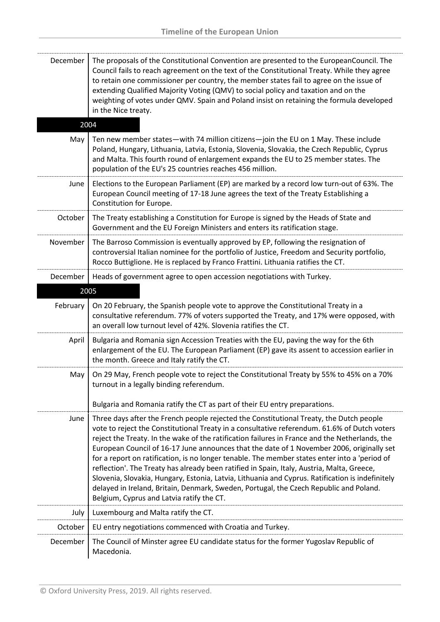| December | The proposals of the Constitutional Convention are presented to the EuropeanCouncil. The<br>Council fails to reach agreement on the text of the Constitutional Treaty. While they agree<br>to retain one commissioner per country, the member states fail to agree on the issue of<br>extending Qualified Majority Voting (QMV) to social policy and taxation and on the<br>weighting of votes under QMV. Spain and Poland insist on retaining the formula developed<br>in the Nice treaty.                                                                                                                                                                                                                                                                                                                                      |
|----------|----------------------------------------------------------------------------------------------------------------------------------------------------------------------------------------------------------------------------------------------------------------------------------------------------------------------------------------------------------------------------------------------------------------------------------------------------------------------------------------------------------------------------------------------------------------------------------------------------------------------------------------------------------------------------------------------------------------------------------------------------------------------------------------------------------------------------------|
| 2004     |                                                                                                                                                                                                                                                                                                                                                                                                                                                                                                                                                                                                                                                                                                                                                                                                                                  |
| May      | Ten new member states-with 74 million citizens-join the EU on 1 May. These include<br>Poland, Hungary, Lithuania, Latvia, Estonia, Slovenia, Slovakia, the Czech Republic, Cyprus<br>and Malta. This fourth round of enlargement expands the EU to 25 member states. The<br>population of the EU's 25 countries reaches 456 million.                                                                                                                                                                                                                                                                                                                                                                                                                                                                                             |
| June     | Elections to the European Parliament (EP) are marked by a record low turn-out of 63%. The<br>European Council meeting of 17-18 June agrees the text of the Treaty Establishing a<br>Constitution for Europe.                                                                                                                                                                                                                                                                                                                                                                                                                                                                                                                                                                                                                     |
| October  | The Treaty establishing a Constitution for Europe is signed by the Heads of State and<br>Government and the EU Foreign Ministers and enters its ratification stage.                                                                                                                                                                                                                                                                                                                                                                                                                                                                                                                                                                                                                                                              |
| November | The Barroso Commission is eventually approved by EP, following the resignation of<br>controversial Italian nominee for the portfolio of Justice, Freedom and Security portfolio,<br>Rocco Buttiglione. He is replaced by Franco Frattini. Lithuania ratifies the CT.                                                                                                                                                                                                                                                                                                                                                                                                                                                                                                                                                             |
| December | Heads of government agree to open accession negotiations with Turkey.                                                                                                                                                                                                                                                                                                                                                                                                                                                                                                                                                                                                                                                                                                                                                            |
|          | 2005                                                                                                                                                                                                                                                                                                                                                                                                                                                                                                                                                                                                                                                                                                                                                                                                                             |
| February | On 20 February, the Spanish people vote to approve the Constitutional Treaty in a<br>consultative referendum. 77% of voters supported the Treaty, and 17% were opposed, with<br>an overall low turnout level of 42%. Slovenia ratifies the CT.                                                                                                                                                                                                                                                                                                                                                                                                                                                                                                                                                                                   |
| April    | Bulgaria and Romania sign Accession Treaties with the EU, paving the way for the 6th<br>enlargement of the EU. The European Parliament (EP) gave its assent to accession earlier in<br>the month. Greece and Italy ratify the CT.                                                                                                                                                                                                                                                                                                                                                                                                                                                                                                                                                                                                |
| May      | On 29 May, French people vote to reject the Constitutional Treaty by 55% to 45% on a 70%<br>turnout in a legally binding referendum.                                                                                                                                                                                                                                                                                                                                                                                                                                                                                                                                                                                                                                                                                             |
|          | Bulgaria and Romania ratify the CT as part of their EU entry preparations.                                                                                                                                                                                                                                                                                                                                                                                                                                                                                                                                                                                                                                                                                                                                                       |
| June     | Three days after the French people rejected the Constitutional Treaty, the Dutch people<br>vote to reject the Constitutional Treaty in a consultative referendum. 61.6% of Dutch voters<br>reject the Treaty. In the wake of the ratification failures in France and the Netherlands, the<br>European Council of 16-17 June announces that the date of 1 November 2006, originally set<br>for a report on ratification, is no longer tenable. The member states enter into a 'period of<br>reflection'. The Treaty has already been ratified in Spain, Italy, Austria, Malta, Greece,<br>Slovenia, Slovakia, Hungary, Estonia, Latvia, Lithuania and Cyprus. Ratification is indefinitely<br>delayed in Ireland, Britain, Denmark, Sweden, Portugal, the Czech Republic and Poland.<br>Belgium, Cyprus and Latvia ratify the CT. |
| July     | Luxembourg and Malta ratify the CT.                                                                                                                                                                                                                                                                                                                                                                                                                                                                                                                                                                                                                                                                                                                                                                                              |
| October  | EU entry negotiations commenced with Croatia and Turkey.                                                                                                                                                                                                                                                                                                                                                                                                                                                                                                                                                                                                                                                                                                                                                                         |
| December | The Council of Minster agree EU candidate status for the former Yugoslav Republic of<br>Macedonia.                                                                                                                                                                                                                                                                                                                                                                                                                                                                                                                                                                                                                                                                                                                               |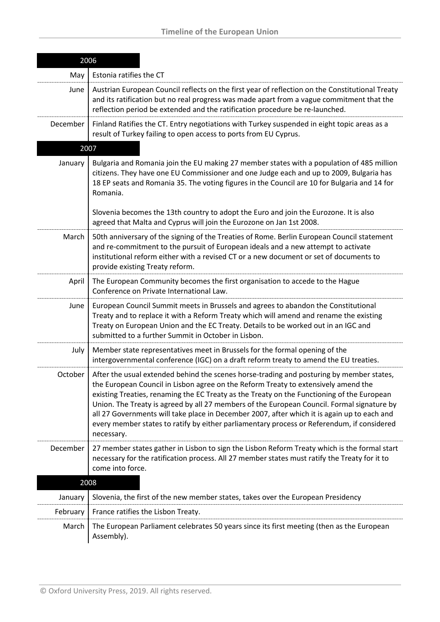| 2006     |                                                                                                                                                                                                                                                                                                                                                                                                                                                                                                                                                                                       |
|----------|---------------------------------------------------------------------------------------------------------------------------------------------------------------------------------------------------------------------------------------------------------------------------------------------------------------------------------------------------------------------------------------------------------------------------------------------------------------------------------------------------------------------------------------------------------------------------------------|
| May      | Estonia ratifies the CT                                                                                                                                                                                                                                                                                                                                                                                                                                                                                                                                                               |
| June     | Austrian European Council reflects on the first year of reflection on the Constitutional Treaty<br>and its ratification but no real progress was made apart from a vague commitment that the<br>reflection period be extended and the ratification procedure be re-launched.                                                                                                                                                                                                                                                                                                          |
| December | Finland Ratifies the CT. Entry negotiations with Turkey suspended in eight topic areas as a<br>result of Turkey failing to open access to ports from EU Cyprus.                                                                                                                                                                                                                                                                                                                                                                                                                       |
|          | 2007                                                                                                                                                                                                                                                                                                                                                                                                                                                                                                                                                                                  |
| January  | Bulgaria and Romania join the EU making 27 member states with a population of 485 million<br>citizens. They have one EU Commissioner and one Judge each and up to 2009, Bulgaria has<br>18 EP seats and Romania 35. The voting figures in the Council are 10 for Bulgaria and 14 for<br>Romania.                                                                                                                                                                                                                                                                                      |
|          | Slovenia becomes the 13th country to adopt the Euro and join the Eurozone. It is also<br>agreed that Malta and Cyprus will join the Eurozone on Jan 1st 2008.                                                                                                                                                                                                                                                                                                                                                                                                                         |
| March    | 50th anniversary of the signing of the Treaties of Rome. Berlin European Council statement<br>and re-commitment to the pursuit of European ideals and a new attempt to activate<br>institutional reform either with a revised CT or a new document or set of documents to<br>provide existing Treaty reform.                                                                                                                                                                                                                                                                          |
| April    | The European Community becomes the first organisation to accede to the Hague<br>Conference on Private International Law.                                                                                                                                                                                                                                                                                                                                                                                                                                                              |
| June     | European Council Summit meets in Brussels and agrees to abandon the Constitutional<br>Treaty and to replace it with a Reform Treaty which will amend and rename the existing<br>Treaty on European Union and the EC Treaty. Details to be worked out in an IGC and<br>submitted to a further Summit in October in Lisbon.                                                                                                                                                                                                                                                             |
| July     | Member state representatives meet in Brussels for the formal opening of the<br>intergovernmental conference (IGC) on a draft reform treaty to amend the EU treaties.                                                                                                                                                                                                                                                                                                                                                                                                                  |
| October  | After the usual extended behind the scenes horse-trading and posturing by member states,<br>the European Council in Lisbon agree on the Reform Treaty to extensively amend the<br>existing Treaties, renaming the EC Treaty as the Treaty on the Functioning of the European<br>Union. The Treaty is agreed by all 27 members of the European Council. Formal signature by<br>all 27 Governments will take place in December 2007, after which it is again up to each and<br>every member states to ratify by either parliamentary process or Referendum, if considered<br>necessary. |
| December | 27 member states gather in Lisbon to sign the Lisbon Reform Treaty which is the formal start<br>necessary for the ratification process. All 27 member states must ratify the Treaty for it to<br>come into force.                                                                                                                                                                                                                                                                                                                                                                     |
|          | 2008                                                                                                                                                                                                                                                                                                                                                                                                                                                                                                                                                                                  |
| January  | Slovenia, the first of the new member states, takes over the European Presidency                                                                                                                                                                                                                                                                                                                                                                                                                                                                                                      |
| February | France ratifies the Lisbon Treaty.                                                                                                                                                                                                                                                                                                                                                                                                                                                                                                                                                    |
| March    | The European Parliament celebrates 50 years since its first meeting (then as the European<br>Assembly).                                                                                                                                                                                                                                                                                                                                                                                                                                                                               |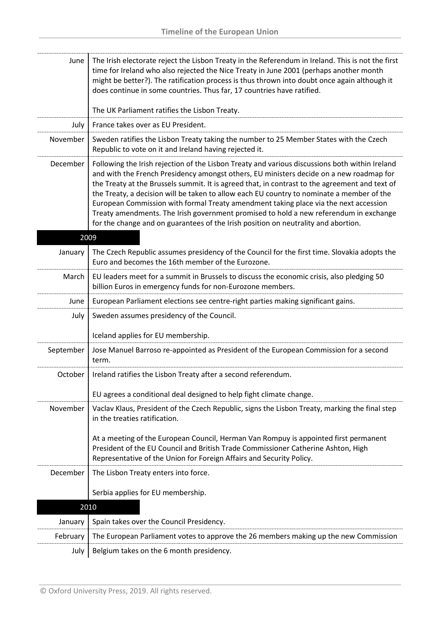| June      | The Irish electorate reject the Lisbon Treaty in the Referendum in Ireland. This is not the first<br>time for Ireland who also rejected the Nice Treaty in June 2001 (perhaps another month<br>might be better?). The ratification process is thus thrown into doubt once again although it                                                                                                                                                                                                                                                                                                                                                                     |
|-----------|-----------------------------------------------------------------------------------------------------------------------------------------------------------------------------------------------------------------------------------------------------------------------------------------------------------------------------------------------------------------------------------------------------------------------------------------------------------------------------------------------------------------------------------------------------------------------------------------------------------------------------------------------------------------|
|           | does continue in some countries. Thus far, 17 countries have ratified.                                                                                                                                                                                                                                                                                                                                                                                                                                                                                                                                                                                          |
|           | The UK Parliament ratifies the Lisbon Treaty.                                                                                                                                                                                                                                                                                                                                                                                                                                                                                                                                                                                                                   |
| July      | France takes over as EU President.                                                                                                                                                                                                                                                                                                                                                                                                                                                                                                                                                                                                                              |
| November  | Sweden ratifies the Lisbon Treaty taking the number to 25 Member States with the Czech<br>Republic to vote on it and Ireland having rejected it.                                                                                                                                                                                                                                                                                                                                                                                                                                                                                                                |
| December  | Following the Irish rejection of the Lisbon Treaty and various discussions both within Ireland<br>and with the French Presidency amongst others, EU ministers decide on a new roadmap for<br>the Treaty at the Brussels summit. It is agreed that, in contrast to the agreement and text of<br>the Treaty, a decision will be taken to allow each EU country to nominate a member of the<br>European Commission with formal Treaty amendment taking place via the next accession<br>Treaty amendments. The Irish government promised to hold a new referendum in exchange<br>for the change and on guarantees of the Irish position on neutrality and abortion. |
|           | 2009                                                                                                                                                                                                                                                                                                                                                                                                                                                                                                                                                                                                                                                            |
| January   | The Czech Republic assumes presidency of the Council for the first time. Slovakia adopts the<br>Euro and becomes the 16th member of the Eurozone.                                                                                                                                                                                                                                                                                                                                                                                                                                                                                                               |
| March     | EU leaders meet for a summit in Brussels to discuss the economic crisis, also pledging 50<br>billion Euros in emergency funds for non-Eurozone members.                                                                                                                                                                                                                                                                                                                                                                                                                                                                                                         |
| June      | European Parliament elections see centre-right parties making significant gains.                                                                                                                                                                                                                                                                                                                                                                                                                                                                                                                                                                                |
| July      | Sweden assumes presidency of the Council.                                                                                                                                                                                                                                                                                                                                                                                                                                                                                                                                                                                                                       |
|           | Iceland applies for EU membership.                                                                                                                                                                                                                                                                                                                                                                                                                                                                                                                                                                                                                              |
| September | Jose Manuel Barroso re-appointed as President of the European Commission for a second<br>term.                                                                                                                                                                                                                                                                                                                                                                                                                                                                                                                                                                  |
| October   | Ireland ratifies the Lisbon Treaty after a second referendum.                                                                                                                                                                                                                                                                                                                                                                                                                                                                                                                                                                                                   |
|           | EU agrees a conditional deal designed to help fight climate change.                                                                                                                                                                                                                                                                                                                                                                                                                                                                                                                                                                                             |
| November  | Vaclav Klaus, President of the Czech Republic, signs the Lisbon Treaty, marking the final step                                                                                                                                                                                                                                                                                                                                                                                                                                                                                                                                                                  |
|           | in the treaties ratification.                                                                                                                                                                                                                                                                                                                                                                                                                                                                                                                                                                                                                                   |
|           | At a meeting of the European Council, Herman Van Rompuy is appointed first permanent<br>President of the EU Council and British Trade Commissioner Catherine Ashton, High<br>Representative of the Union for Foreign Affairs and Security Policy.                                                                                                                                                                                                                                                                                                                                                                                                               |
| December  | The Lisbon Treaty enters into force.                                                                                                                                                                                                                                                                                                                                                                                                                                                                                                                                                                                                                            |
|           | Serbia applies for EU membership.                                                                                                                                                                                                                                                                                                                                                                                                                                                                                                                                                                                                                               |
|           | 2010                                                                                                                                                                                                                                                                                                                                                                                                                                                                                                                                                                                                                                                            |
| January   | Spain takes over the Council Presidency.                                                                                                                                                                                                                                                                                                                                                                                                                                                                                                                                                                                                                        |
| February  | The European Parliament votes to approve the 26 members making up the new Commission                                                                                                                                                                                                                                                                                                                                                                                                                                                                                                                                                                            |
| July      | Belgium takes on the 6 month presidency.                                                                                                                                                                                                                                                                                                                                                                                                                                                                                                                                                                                                                        |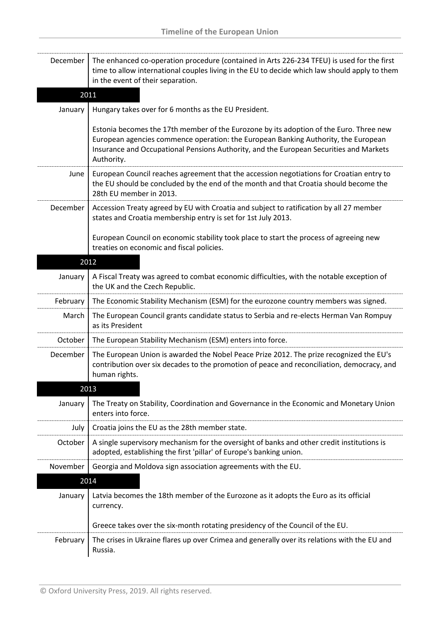| December | The enhanced co-operation procedure (contained in Arts 226-234 TFEU) is used for the first<br>time to allow international couples living in the EU to decide which law should apply to them<br>in the event of their separation.                                                     |
|----------|--------------------------------------------------------------------------------------------------------------------------------------------------------------------------------------------------------------------------------------------------------------------------------------|
|          | 2011                                                                                                                                                                                                                                                                                 |
| January  | Hungary takes over for 6 months as the EU President.                                                                                                                                                                                                                                 |
|          | Estonia becomes the 17th member of the Eurozone by its adoption of the Euro. Three new<br>European agencies commence operation: the European Banking Authority, the European<br>Insurance and Occupational Pensions Authority, and the European Securities and Markets<br>Authority. |
| June     | European Council reaches agreement that the accession negotiations for Croatian entry to<br>the EU should be concluded by the end of the month and that Croatia should become the<br>28th EU member in 2013.                                                                         |
| December | Accession Treaty agreed by EU with Croatia and subject to ratification by all 27 member<br>states and Croatia membership entry is set for 1st July 2013.                                                                                                                             |
|          | European Council on economic stability took place to start the process of agreeing new<br>treaties on economic and fiscal policies.                                                                                                                                                  |
|          | 2012                                                                                                                                                                                                                                                                                 |
| January  | A Fiscal Treaty was agreed to combat economic difficulties, with the notable exception of<br>the UK and the Czech Republic.                                                                                                                                                          |
| February | The Economic Stability Mechanism (ESM) for the eurozone country members was signed.                                                                                                                                                                                                  |
| March    | The European Council grants candidate status to Serbia and re-elects Herman Van Rompuy<br>as its President                                                                                                                                                                           |
| October  | The European Stability Mechanism (ESM) enters into force.                                                                                                                                                                                                                            |
| December | The European Union is awarded the Nobel Peace Prize 2012. The prize recognized the EU's<br>contribution over six decades to the promotion of peace and reconciliation, democracy, and<br>human rights.                                                                               |
|          | 2013                                                                                                                                                                                                                                                                                 |
| January  | The Treaty on Stability, Coordination and Governance in the Economic and Monetary Union<br>enters into force.                                                                                                                                                                        |
| July     | Croatia joins the EU as the 28th member state.                                                                                                                                                                                                                                       |
| October  | A single supervisory mechanism for the oversight of banks and other credit institutions is<br>adopted, establishing the first 'pillar' of Europe's banking union.                                                                                                                    |
| November | Georgia and Moldova sign association agreements with the EU.                                                                                                                                                                                                                         |
|          | 2014                                                                                                                                                                                                                                                                                 |
| January  | Latvia becomes the 18th member of the Eurozone as it adopts the Euro as its official<br>currency.                                                                                                                                                                                    |
|          | Greece takes over the six-month rotating presidency of the Council of the EU.                                                                                                                                                                                                        |
| February | The crises in Ukraine flares up over Crimea and generally over its relations with the EU and<br>Russia.                                                                                                                                                                              |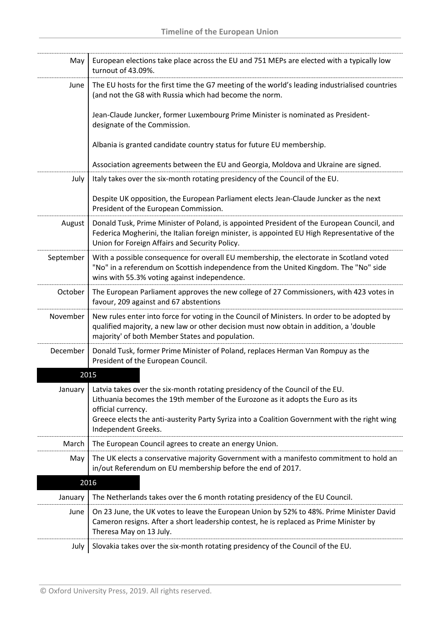| May       | European elections take place across the EU and 751 MEPs are elected with a typically low<br>turnout of 43.09%.                                                                                                                                                                                               |
|-----------|---------------------------------------------------------------------------------------------------------------------------------------------------------------------------------------------------------------------------------------------------------------------------------------------------------------|
| June      | The EU hosts for the first time the G7 meeting of the world's leading industrialised countries<br>(and not the G8 with Russia which had become the norm.                                                                                                                                                      |
|           | Jean-Claude Juncker, former Luxembourg Prime Minister is nominated as President-<br>designate of the Commission.                                                                                                                                                                                              |
|           | Albania is granted candidate country status for future EU membership.                                                                                                                                                                                                                                         |
|           | Association agreements between the EU and Georgia, Moldova and Ukraine are signed.                                                                                                                                                                                                                            |
| July      | Italy takes over the six-month rotating presidency of the Council of the EU.                                                                                                                                                                                                                                  |
|           | Despite UK opposition, the European Parliament elects Jean-Claude Juncker as the next<br>President of the European Commission.                                                                                                                                                                                |
| August    | Donald Tusk, Prime Minister of Poland, is appointed President of the European Council, and<br>Federica Mogherini, the Italian foreign minister, is appointed EU High Representative of the<br>Union for Foreign Affairs and Security Policy.                                                                  |
| September | With a possible consequence for overall EU membership, the electorate in Scotland voted<br>"No" in a referendum on Scottish independence from the United Kingdom. The "No" side<br>wins with 55.3% voting against independence.                                                                               |
| October   | The European Parliament approves the new college of 27 Commissioners, with 423 votes in<br>favour, 209 against and 67 abstentions                                                                                                                                                                             |
| November  | New rules enter into force for voting in the Council of Ministers. In order to be adopted by<br>qualified majority, a new law or other decision must now obtain in addition, a 'double<br>majority' of both Member States and population.                                                                     |
| December  | Donald Tusk, former Prime Minister of Poland, replaces Herman Van Rompuy as the<br>President of the European Council.                                                                                                                                                                                         |
|           | 2015                                                                                                                                                                                                                                                                                                          |
| January   | Latvia takes over the six-month rotating presidency of the Council of the EU.<br>Lithuania becomes the 19th member of the Eurozone as it adopts the Euro as its<br>official currency.<br>Greece elects the anti-austerity Party Syriza into a Coalition Government with the right wing<br>Independent Greeks. |
| March     | The European Council agrees to create an energy Union.                                                                                                                                                                                                                                                        |
| May       | The UK elects a conservative majority Government with a manifesto commitment to hold an<br>in/out Referendum on EU membership before the end of 2017.                                                                                                                                                         |
|           | 2016                                                                                                                                                                                                                                                                                                          |
| January   | The Netherlands takes over the 6 month rotating presidency of the EU Council.                                                                                                                                                                                                                                 |
| June      | On 23 June, the UK votes to leave the European Union by 52% to 48%. Prime Minister David<br>Cameron resigns. After a short leadership contest, he is replaced as Prime Minister by<br>Theresa May on 13 July.                                                                                                 |
| July      | Slovakia takes over the six-month rotating presidency of the Council of the EU.                                                                                                                                                                                                                               |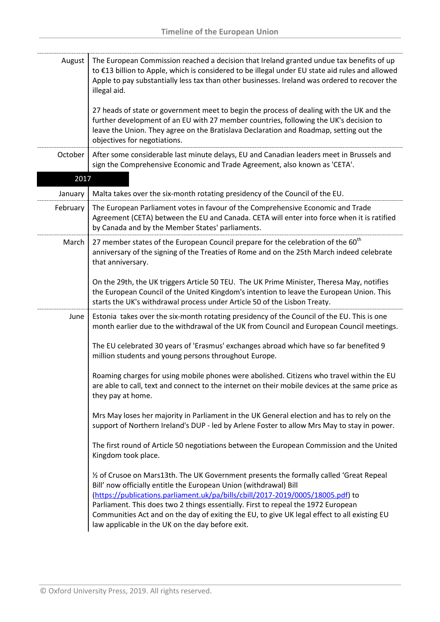| The European Commission reached a decision that Ireland granted undue tax benefits of up<br>to €13 billion to Apple, which is considered to be illegal under EU state aid rules and allowed<br>Apple to pay substantially less tax than other businesses. Ireland was ordered to recover the<br>illegal aid.                                                                                                                                                                             |
|------------------------------------------------------------------------------------------------------------------------------------------------------------------------------------------------------------------------------------------------------------------------------------------------------------------------------------------------------------------------------------------------------------------------------------------------------------------------------------------|
| 27 heads of state or government meet to begin the process of dealing with the UK and the<br>further development of an EU with 27 member countries, following the UK's decision to<br>leave the Union. They agree on the Bratislava Declaration and Roadmap, setting out the<br>objectives for negotiations.                                                                                                                                                                              |
| After some considerable last minute delays, EU and Canadian leaders meet in Brussels and<br>sign the Comprehensive Economic and Trade Agreement, also known as 'CETA'.                                                                                                                                                                                                                                                                                                                   |
| 2017                                                                                                                                                                                                                                                                                                                                                                                                                                                                                     |
| Malta takes over the six-month rotating presidency of the Council of the EU.                                                                                                                                                                                                                                                                                                                                                                                                             |
| The European Parliament votes in favour of the Comprehensive Economic and Trade<br>Agreement (CETA) between the EU and Canada. CETA will enter into force when it is ratified<br>by Canada and by the Member States' parliaments.                                                                                                                                                                                                                                                        |
| 27 member states of the European Council prepare for the celebration of the 60 <sup>th</sup><br>anniversary of the signing of the Treaties of Rome and on the 25th March indeed celebrate<br>that anniversary.                                                                                                                                                                                                                                                                           |
| On the 29th, the UK triggers Article 50 TEU. The UK Prime Minister, Theresa May, notifies<br>the European Council of the United Kingdom's intention to leave the European Union. This<br>starts the UK's withdrawal process under Article 50 of the Lisbon Treaty.                                                                                                                                                                                                                       |
| Estonia takes over the six-month rotating presidency of the Council of the EU. This is one<br>month earlier due to the withdrawal of the UK from Council and European Council meetings.                                                                                                                                                                                                                                                                                                  |
| The EU celebrated 30 years of 'Erasmus' exchanges abroad which have so far benefited 9<br>million students and young persons throughout Europe.                                                                                                                                                                                                                                                                                                                                          |
| Roaming charges for using mobile phones were abolished. Citizens who travel within the EU<br>are able to call, text and connect to the internet on their mobile devices at the same price as<br>they pay at home.                                                                                                                                                                                                                                                                        |
| Mrs May loses her majority in Parliament in the UK General election and has to rely on the<br>support of Northern Ireland's DUP - led by Arlene Foster to allow Mrs May to stay in power.                                                                                                                                                                                                                                                                                                |
| The first round of Article 50 negotiations between the European Commission and the United<br>Kingdom took place.                                                                                                                                                                                                                                                                                                                                                                         |
| 1/2 of Crusoe on Mars13th. The UK Government presents the formally called 'Great Repeal<br>Bill' now officially entitle the European Union (withdrawal) Bill<br>(https://publications.parliament.uk/pa/bills/cbill/2017-2019/0005/18005.pdf) to<br>Parliament. This does two 2 things essentially. First to repeal the 1972 European<br>Communities Act and on the day of exiting the EU, to give UK legal effect to all existing EU<br>law applicable in the UK on the day before exit. |
|                                                                                                                                                                                                                                                                                                                                                                                                                                                                                          |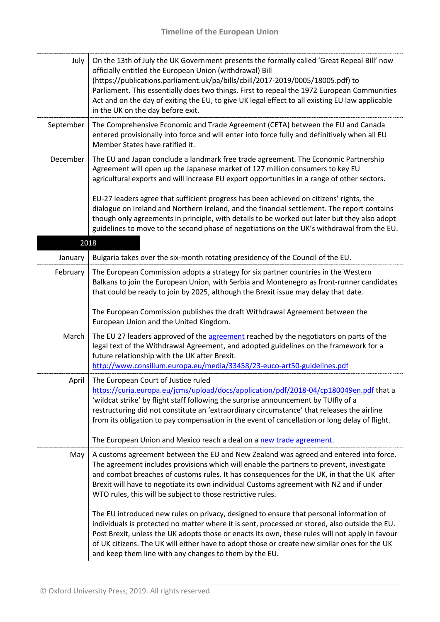| July      | On the 13th of July the UK Government presents the formally called 'Great Repeal Bill' now<br>officially entitled the European Union (withdrawal) Bill<br>(https://publications.parliament.uk/pa/bills/cbill/2017-2019/0005/18005.pdf) to<br>Parliament. This essentially does two things. First to repeal the 1972 European Communities<br>Act and on the day of exiting the EU, to give UK legal effect to all existing EU law applicable<br>in the UK on the day before exit.                                                                                                                                                       |
|-----------|----------------------------------------------------------------------------------------------------------------------------------------------------------------------------------------------------------------------------------------------------------------------------------------------------------------------------------------------------------------------------------------------------------------------------------------------------------------------------------------------------------------------------------------------------------------------------------------------------------------------------------------|
| September | The Comprehensive Economic and Trade Agreement (CETA) between the EU and Canada<br>entered provisionally into force and will enter into force fully and definitively when all EU<br>Member States have ratified it.                                                                                                                                                                                                                                                                                                                                                                                                                    |
| December  | The EU and Japan conclude a landmark free trade agreement. The Economic Partnership<br>Agreement will open up the Japanese market of 127 million consumers to key EU<br>agricultural exports and will increase EU export opportunities in a range of other sectors.                                                                                                                                                                                                                                                                                                                                                                    |
|           | EU-27 leaders agree that sufficient progress has been achieved on citizens' rights, the<br>dialogue on Ireland and Northern Ireland, and the financial settlement. The report contains<br>though only agreements in principle, with details to be worked out later but they also adopt<br>guidelines to move to the second phase of negotiations on the UK's withdrawal from the EU.                                                                                                                                                                                                                                                   |
|           | 2018                                                                                                                                                                                                                                                                                                                                                                                                                                                                                                                                                                                                                                   |
| January   | Bulgaria takes over the six-month rotating presidency of the Council of the EU.                                                                                                                                                                                                                                                                                                                                                                                                                                                                                                                                                        |
| February  | The European Commission adopts a strategy for six partner countries in the Western<br>Balkans to join the European Union, with Serbia and Montenegro as front-runner candidates<br>that could be ready to join by 2025, although the Brexit issue may delay that date.                                                                                                                                                                                                                                                                                                                                                                 |
|           | The European Commission publishes the draft Withdrawal Agreement between the<br>European Union and the United Kingdom.                                                                                                                                                                                                                                                                                                                                                                                                                                                                                                                 |
| March     | The EU 27 leaders approved of the agreement reached by the negotiators on parts of the<br>legal text of the Withdrawal Agreement, and adopted guidelines on the framework for a<br>future relationship with the UK after Brexit.<br>http://www.consilium.europa.eu/media/33458/23-euco-art50-guidelines.pdf                                                                                                                                                                                                                                                                                                                            |
| April     | The European Court of Justice ruled<br>https://curia.europa.eu/jcms/upload/docs/application/pdf/2018-04/cp180049en.pdf that a<br>'wildcat strike' by flight staff following the surprise announcement by TUIfly of a<br>restructuring did not constitute an 'extraordinary circumstance' that releases the airline<br>from its obligation to pay compensation in the event of cancellation or long delay of flight.<br>The European Union and Mexico reach a deal on a new trade agreement.                                                                                                                                            |
| May       | A customs agreement between the EU and New Zealand was agreed and entered into force.<br>The agreement includes provisions which will enable the partners to prevent, investigate<br>and combat breaches of customs rules. It has consequences for the UK, in that the UK after<br>Brexit will have to negotiate its own individual Customs agreement with NZ and if under<br>WTO rules, this will be subject to those restrictive rules.<br>The EU introduced new rules on privacy, designed to ensure that personal information of<br>individuals is protected no matter where it is sent, processed or stored, also outside the EU. |
|           | Post Brexit, unless the UK adopts those or enacts its own, these rules will not apply in favour<br>of UK citizens. The UK will either have to adopt those or create new similar ones for the UK<br>and keep them line with any changes to them by the EU.                                                                                                                                                                                                                                                                                                                                                                              |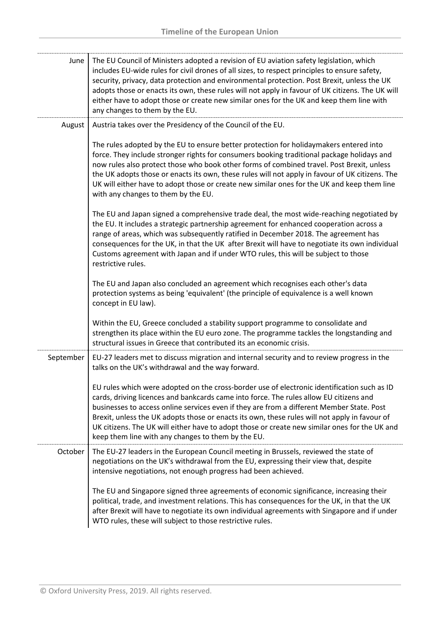| June      | The EU Council of Ministers adopted a revision of EU aviation safety legislation, which<br>includes EU-wide rules for civil drones of all sizes, to respect principles to ensure safety,<br>security, privacy, data protection and environmental protection. Post Brexit, unless the UK<br>adopts those or enacts its own, these rules will not apply in favour of UK citizens. The UK will<br>either have to adopt those or create new similar ones for the UK and keep them line with<br>any changes to them by the EU.                  |
|-----------|--------------------------------------------------------------------------------------------------------------------------------------------------------------------------------------------------------------------------------------------------------------------------------------------------------------------------------------------------------------------------------------------------------------------------------------------------------------------------------------------------------------------------------------------|
| August    | Austria takes over the Presidency of the Council of the EU.                                                                                                                                                                                                                                                                                                                                                                                                                                                                                |
|           | The rules adopted by the EU to ensure better protection for holidaymakers entered into<br>force. They include stronger rights for consumers booking traditional package holidays and<br>now rules also protect those who book other forms of combined travel. Post Brexit, unless<br>the UK adopts those or enacts its own, these rules will not apply in favour of UK citizens. The<br>UK will either have to adopt those or create new similar ones for the UK and keep them line<br>with any changes to them by the EU.                 |
|           | The EU and Japan signed a comprehensive trade deal, the most wide-reaching negotiated by<br>the EU. It includes a strategic partnership agreement for enhanced cooperation across a<br>range of areas, which was subsequently ratified in December 2018. The agreement has<br>consequences for the UK, in that the UK after Brexit will have to negotiate its own individual<br>Customs agreement with Japan and if under WTO rules, this will be subject to those<br>restrictive rules.                                                   |
|           | The EU and Japan also concluded an agreement which recognises each other's data<br>protection systems as being 'equivalent' (the principle of equivalence is a well known<br>concept in EU law).                                                                                                                                                                                                                                                                                                                                           |
|           | Within the EU, Greece concluded a stability support programme to consolidate and<br>strengthen its place within the EU euro zone. The programme tackles the longstanding and<br>structural issues in Greece that contributed its an economic crisis.                                                                                                                                                                                                                                                                                       |
| September | EU-27 leaders met to discuss migration and internal security and to review progress in the<br>talks on the UK's withdrawal and the way forward.                                                                                                                                                                                                                                                                                                                                                                                            |
|           | EU rules which were adopted on the cross-border use of electronic identification such as ID<br>cards, driving licences and bankcards came into force. The rules allow EU citizens and<br>businesses to access online services even if they are from a different Member State. Post<br>Brexit, unless the UK adopts those or enacts its own, these rules will not apply in favour of<br>UK citizens. The UK will either have to adopt those or create new similar ones for the UK and<br>keep them line with any changes to them by the EU. |
| October   | The EU-27 leaders in the European Council meeting in Brussels, reviewed the state of<br>negotiations on the UK's withdrawal from the EU, expressing their view that, despite<br>intensive negotiations, not enough progress had been achieved.                                                                                                                                                                                                                                                                                             |
|           | The EU and Singapore signed three agreements of economic significance, increasing their<br>political, trade, and investment relations. This has consequences for the UK, in that the UK<br>after Brexit will have to negotiate its own individual agreements with Singapore and if under<br>WTO rules, these will subject to those restrictive rules.                                                                                                                                                                                      |